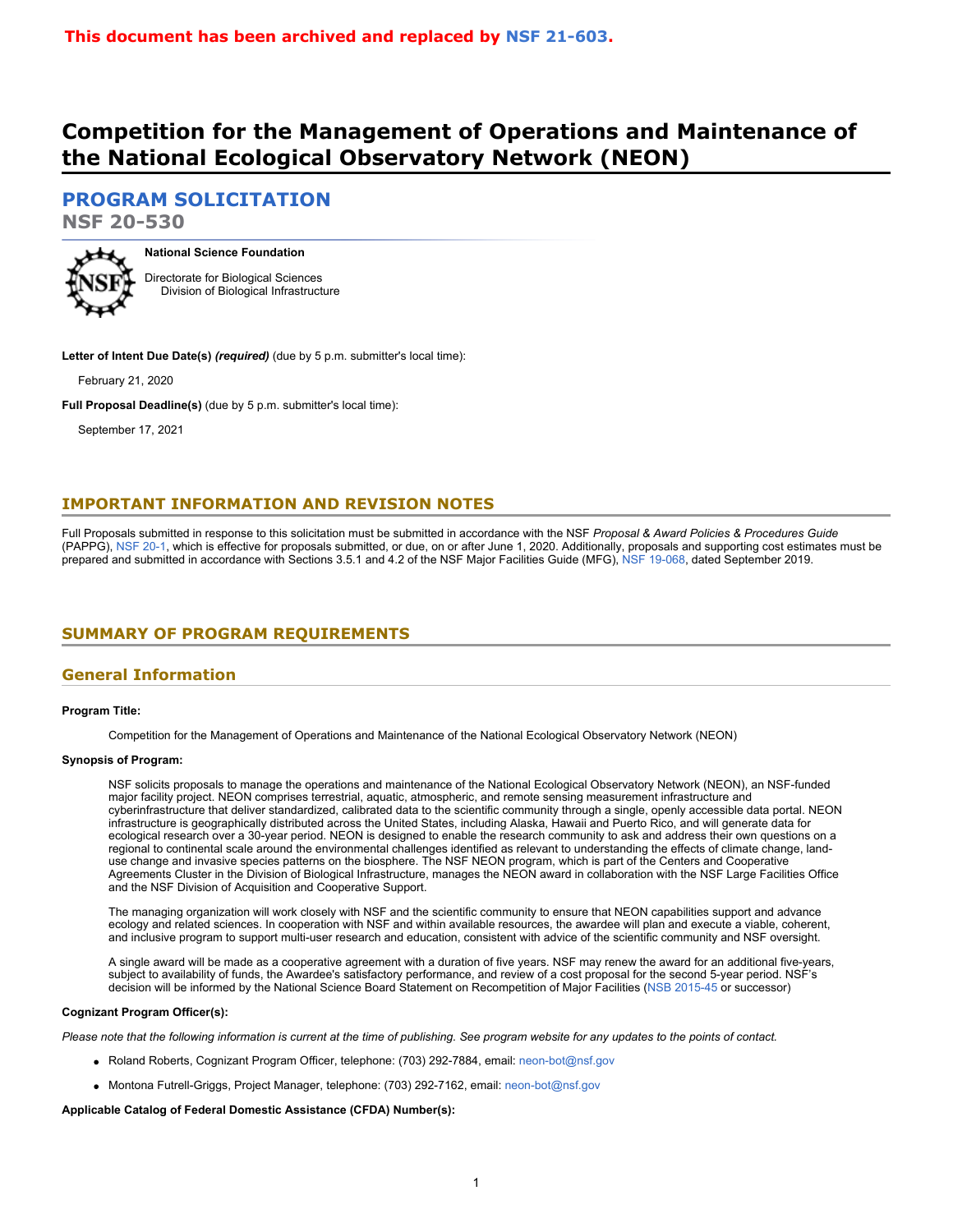# **Competition for the Management of Operations and Maintenance of the National Ecological Observatory Network (NEON)**

# **[PROGRAM SOLICITATION](#page-2-0)**

**NSF 20-530**



**National Science Foundation** Directorate for Biological Sciences Division of Biological Infrastructure

**Letter of Intent Due Date(s)** *(required)* (due by 5 p.m. submitter's local time):

February 21, 2020

**Full Proposal Deadline(s)** (due by 5 p.m. submitter's local time):

September 17, 2021

# **IMPORTANT INFORMATION AND REVISION NOTES**

Full Proposals submitted in response to this solicitation must be submitted in accordance with the NSF *Proposal & Award Policies & Procedures Guide* (PAPPG), [NSF 20-1](https://www.nsf.gov/publications/pub_summ.jsp?ods_key=nsf20001&org=NSF), which is effective for proposals submitted, or due, on or after June 1, 2020. Additionally, proposals and supporting cost estimates must be prepared and submitted in accordance with Sections 3.5.1 and 4.2 of the NSF Major Facilities Guide (MFG), [NSF 19-068](https://www.nsf.gov/publications/pub_summ.jsp?ods_key=nsf19068), dated September 2019.

# <span id="page-0-0"></span>**SUMMARY OF PROGRAM REQUIREMENTS**

### **General Information**

### **Program Title:**

Competition for the Management of Operations and Maintenance of the National Ecological Observatory Network (NEON)

### **Synopsis of Program:**

NSF solicits proposals to manage the operations and maintenance of the National Ecological Observatory Network (NEON), an NSF-funded major facility project. NEON comprises terrestrial, aquatic, atmospheric, and remote sensing measurement infrastructure and cyberinfrastructure that deliver standardized, calibrated data to the scientific community through a single, openly accessible data portal. NEON infrastructure is geographically distributed across the United States, including Alaska, Hawaii and Puerto Rico, and will generate data for ecological research over a 30-year period. NEON is designed to enable the research community to ask and address their own questions on a regional to continental scale around the environmental challenges identified as relevant to understanding the effects of climate change, landuse change and invasive species patterns on the biosphere. The NSF NEON program, which is part of the Centers and Cooperative Agreements Cluster in the Division of Biological Infrastructure, manages the NEON award in collaboration with the NSF Large Facilities Office and the NSF Division of Acquisition and Cooperative Support.

The managing organization will work closely with NSF and the scientific community to ensure that NEON capabilities support and advance ecology and related sciences. In cooperation with NSF and within available resources, the awardee will plan and execute a viable, coherent, and inclusive program to support multi-user research and education, consistent with advice of the scientific community and NSF oversight.

A single award will be made as a cooperative agreement with a duration of five years. NSF may renew the award for an additional five-years, subject to availability of funds, the Awardee's satisfactory performance, and review of a cost proposal for the second 5-year period. NSF's decision will be informed by the National Science Board Statement on Recompetition of Major Facilities [\(NSB 2015-45](https://www.nsf.gov/nsb/publications/2015/NSBStatementRecompetitionFacilities_2015-11-19.pdf) or successor)

#### **Cognizant Program Officer(s):**

*Please note that the following information is current at the time of publishing. See program website for any updates to the points of contact.*

- Roland Roberts, Cognizant Program Officer, telephone: (703) 292-7884, email: [neon-bot@nsf.gov](mailto:neon-bot@nsf.gov)
- Montona Futrell-Griggs, Project Manager, telephone: (703) 292-7162, email: [neon-bot@nsf.gov](mailto:neon-bot@nsf.gov)

**Applicable Catalog of Federal Domestic Assistance (CFDA) Number(s):**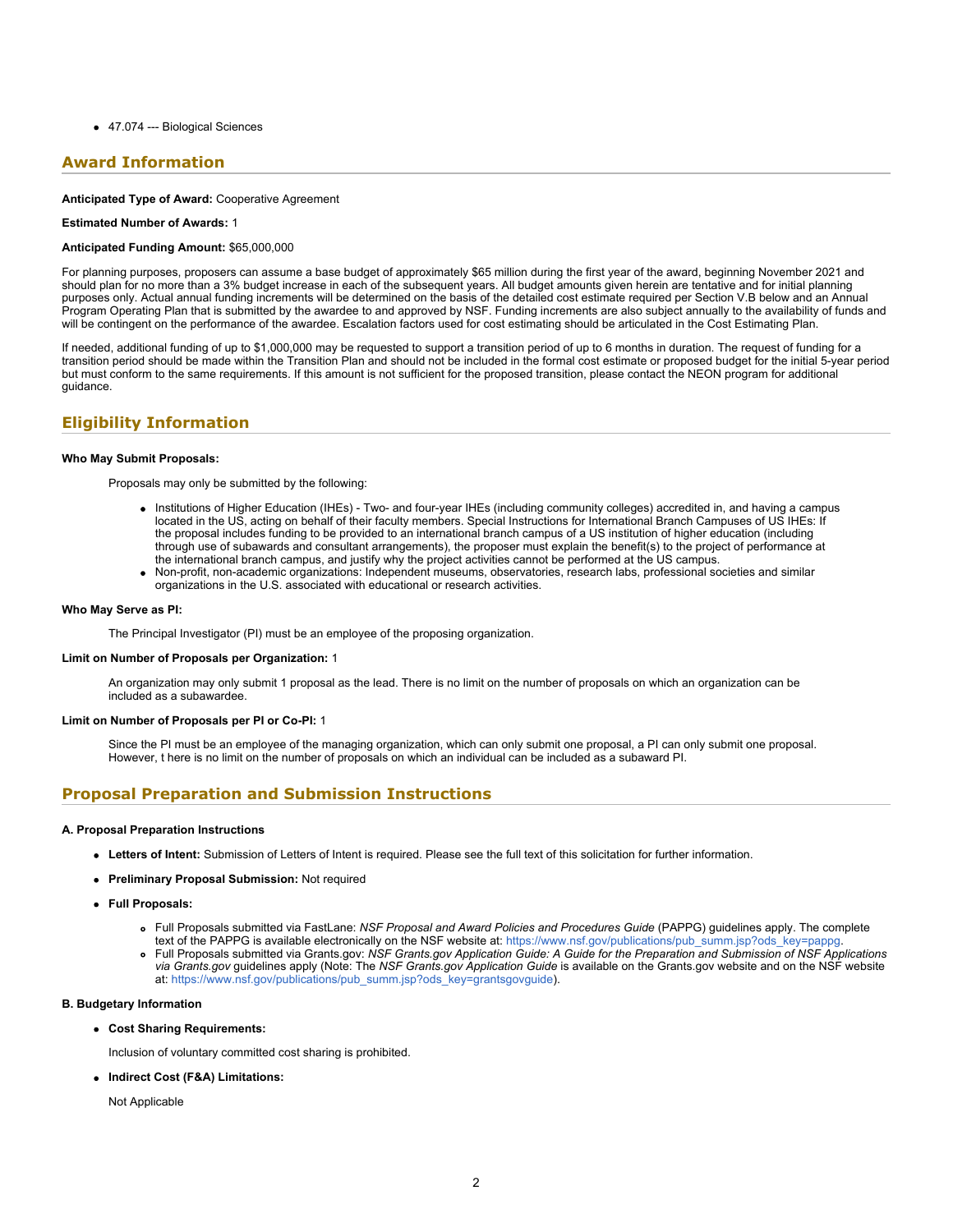● 47.074 --- Biological Sciences

# **Award Information**

### **Anticipated Type of Award:** Cooperative Agreement

### **Estimated Number of Awards:** 1

### **Anticipated Funding Amount:** \$65,000,000

For planning purposes, proposers can assume a base budget of approximately \$65 million during the first year of the award, beginning November 2021 and should plan for no more than a 3% budget increase in each of the subsequent years. All budget amounts given herein are tentative and for initial planning purposes only. Actual annual funding increments will be determined on the basis of the detailed cost estimate required per Section V.B below and an Annual Program Operating Plan that is submitted by the awardee to and approved by NSF. Funding increments are also subject annually to the availability of funds and will be contingent on the performance of the awardee. Escalation factors used for cost estimating should be articulated in the Cost Estimating Plan.

If needed, additional funding of up to \$1,000,000 may be requested to support a transition period of up to 6 months in duration. The request of funding for a transition period should be made within the Transition Plan and should not be included in the formal cost estimate or proposed budget for the initial 5-year period but must conform to the same requirements. If this amount is not sufficient for the proposed transition, please contact the NEON program for additional guidance.

### **Eligibility Information**

### **Who May Submit Proposals:**

Proposals may only be submitted by the following:

- Institutions of Higher Education (IHEs) Two- and four-year IHEs (including community colleges) accredited in, and having a campus located in the US, acting on behalf of their faculty members. Special Instructions for International Branch Campuses of US IHEs: If the proposal includes funding to be provided to an international branch campus of a US institution of higher education (including through use of subawards and consultant arrangements), the proposer must explain the benefit(s) to the project of performance at the international branch campus, and justify why the project activities cannot be performed at the US campus.
- Non-profit, non-academic organizations: Independent museums, observatories, research labs, professional societies and similar organizations in the U.S. associated with educational or research activities.

### **Who May Serve as PI:**

The Principal Investigator (PI) must be an employee of the proposing organization.

### **Limit on Number of Proposals per Organization:** 1

An organization may only submit 1 proposal as the lead. There is no limit on the number of proposals on which an organization can be included as a subawardee.

#### **Limit on Number of Proposals per PI or Co-PI:** 1

Since the PI must be an employee of the managing organization, which can only submit one proposal, a PI can only submit one proposal. However, t here is no limit on the number of proposals on which an individual can be included as a subaward PI.

### **Proposal Preparation and Submission Instructions**

#### **A. Proposal Preparation Instructions**

- **Letters of Intent:** Submission of Letters of Intent is required. Please see the full text of this solicitation for further information.
- **Preliminary Proposal Submission:** Not required
- **Full Proposals:**
	- Full Proposals submitted via FastLane: *NSF Proposal and Award Policies and Procedures Guide* (PAPPG) guidelines apply. The complete text of the PAPPG is available electronically on the NSF website at: [https://www.nsf.gov/publications/pub\\_summ.jsp?ods\\_key=pappg](https://www.nsf.gov/publications/pub_summ.jsp?ods_key=pappg).
	- Full Proposals submitted via Grants.gov: *NSF Grants.gov Application Guide: A Guide for the Preparation and Submission of NSF Applications via Grants.gov* guidelines apply (Note: The *NSF Grants.gov Application Guide* is available on the Grants.gov website and on the NSF website at: [https://www.nsf.gov/publications/pub\\_summ.jsp?ods\\_key=grantsgovguide](https://www.nsf.gov/publications/pub_summ.jsp?ods_key=grantsgovguide)).

#### **B. Budgetary Information**

**Cost Sharing Requirements:**

Inclusion of voluntary committed cost sharing is prohibited.

**Indirect Cost (F&A) Limitations:**

Not Applicable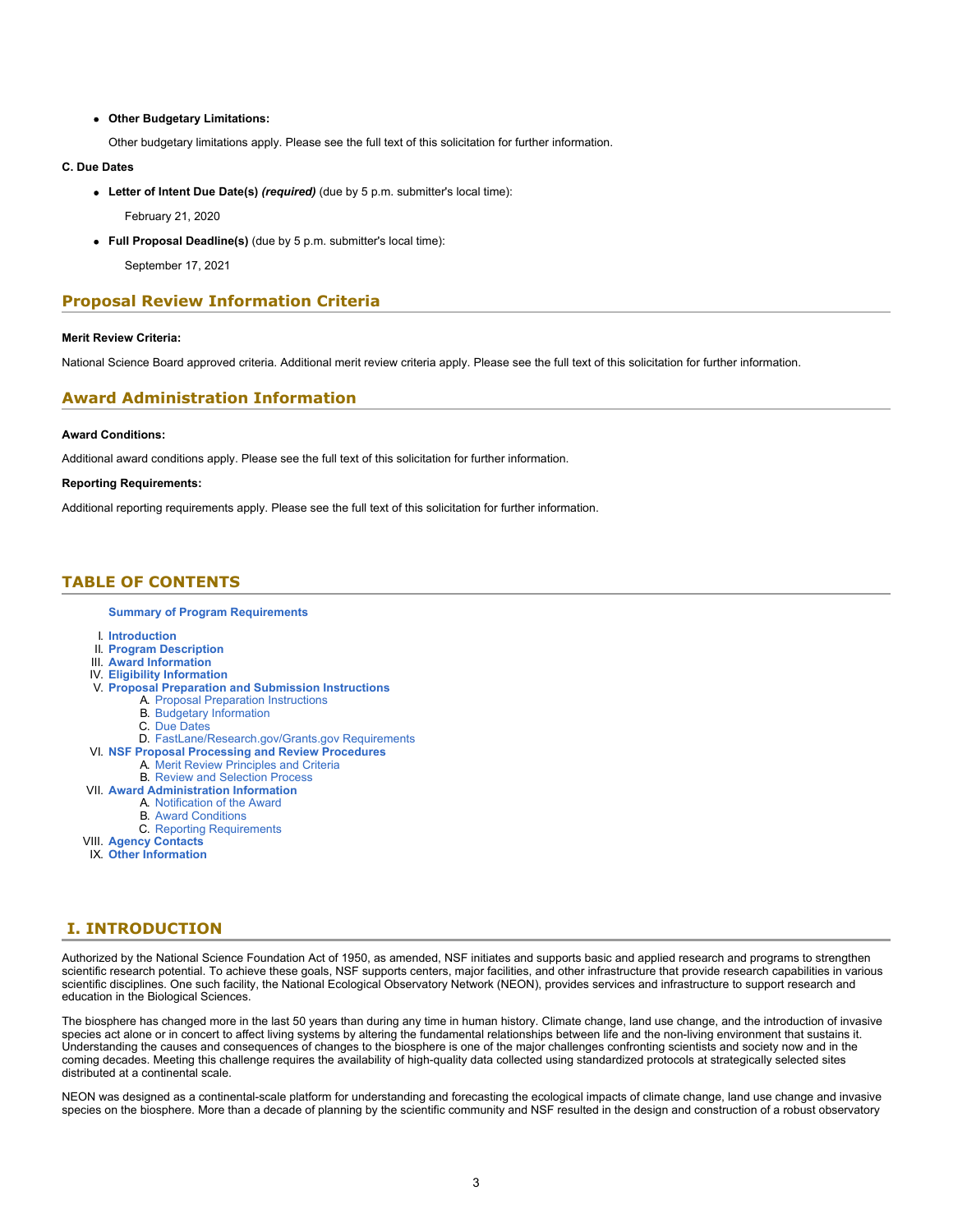### **Other Budgetary Limitations:**

Other budgetary limitations apply. Please see the full text of this solicitation for further information.

### **C. Due Dates**

**Letter of Intent Due Date(s)** *(required)* (due by 5 p.m. submitter's local time):

February 21, 2020

**Full Proposal Deadline(s)** (due by 5 p.m. submitter's local time):

September 17, 2021

### **Proposal Review Information Criteria**

### **Merit Review Criteria:**

National Science Board approved criteria. Additional merit review criteria apply. Please see the full text of this solicitation for further information.

### **Award Administration Information**

### **Award Conditions:**

Additional award conditions apply. Please see the full text of this solicitation for further information.

#### **Reporting Requirements:**

Additional reporting requirements apply. Please see the full text of this solicitation for further information.

### <span id="page-2-0"></span>**TABLE OF CONTENTS**

#### **[Summary of Program Requirements](#page-0-0)**

- I. **[Introduction](#page-2-1)**
- II. **[Program Description](#page-3-0)**
- III. **[Award Information](#page-7-0)**
- IV. **[Eligibility Information](#page-7-1)**
- V. **[Proposal Preparation and Submission Instructions](#page-7-2)**
	- A. [Proposal Preparation Instructions](#page-7-2)
	- B. [Budgetary Information](#page-10-0)
	- C. [Due Dates](#page-11-0)
- D. [FastLane/Research.gov/Grants.gov Requirements](#page-11-1)
- VI. **[NSF Proposal Processing and Review Procedures](#page-11-2)**
	- A. [Merit Review Principles and Criteria](#page-12-0)
		- B. [Review and Selection Process](#page-13-0)
- VII. **[Award Administration Information](#page-14-0)**
	- A. [Notification of the Award](#page-14-1)
	- B. [Award Conditions](#page-14-2)
	- C. [Reporting Requirements](#page-15-0)
- VIII. **[Agency Contacts](#page-15-1)**
- IX. **[Other Information](#page-16-0)**

# <span id="page-2-1"></span>**I. INTRODUCTION**

Authorized by the National Science Foundation Act of 1950, as amended, NSF initiates and supports basic and applied research and programs to strengthen scientific research potential. To achieve these goals, NSF supports centers, major facilities, and other infrastructure that provide research capabilities in various scientific disciplines. One such facility, the National Ecological Observatory Network (NEON), provides services and infrastructure to support research and education in the Biological Sciences.

The biosphere has changed more in the last 50 years than during any time in human history. Climate change, land use change, and the introduction of invasive species act alone or in concert to affect living systems by altering the fundamental relationships between life and the non-living environment that sustains it. Understanding the causes and consequences of changes to the biosphere is one of the major challenges confronting scientists and society now and in the coming decades. Meeting this challenge requires the availability of high-quality data collected using standardized protocols at strategically selected sites distributed at a continental scale.

NEON was designed as a continental-scale platform for understanding and forecasting the ecological impacts of climate change, land use change and invasive species on the biosphere. More than a decade of planning by the scientific community and NSF resulted in the design and construction of a robust observatory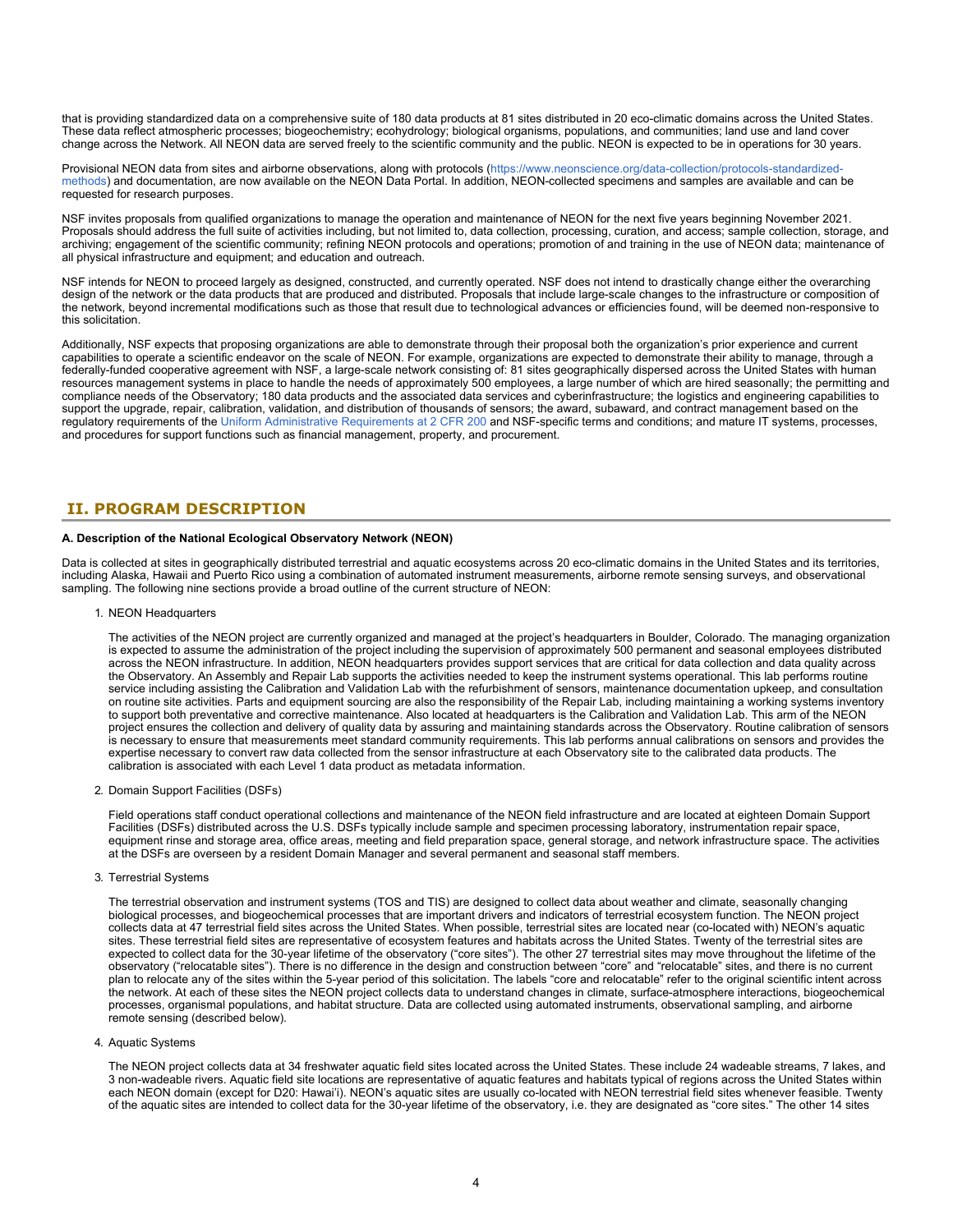that is providing standardized data on a comprehensive suite of 180 data products at 81 sites distributed in 20 eco-climatic domains across the United States. These data reflect atmospheric processes; biogeochemistry; ecohydrology; biological organisms, populations, and communities; land use and land cover change across the Network. All NEON data are served freely to the scientific community and the public. NEON is expected to be in operations for 30 years.

Provisional NEON data from sites and airborne observations, along with protocols [\(https://www.neonscience.org/data-collection/protocols-standardized](https://www.nsf.gov/cgi-bin/goodbye?https://www.neonscience.org/data-collection/protocols-standardized-methods)[methods\)](https://www.nsf.gov/cgi-bin/goodbye?https://www.neonscience.org/data-collection/protocols-standardized-methods) and documentation, are now available on the NEON Data Portal. In addition, NEON-collected specimens and samples are available and can be requested for research purposes.

NSF invites proposals from qualified organizations to manage the operation and maintenance of NEON for the next five years beginning November 2021. Proposals should address the full suite of activities including, but not limited to, data collection, processing, curation, and access; sample collection, storage, and archiving; engagement of the scientific community; refining NEON protocols and operations; promotion of and training in the use of NEON data; maintenance of all physical infrastructure and equipment; and education and outreach.

NSF intends for NEON to proceed largely as designed, constructed, and currently operated. NSF does not intend to drastically change either the overarching design of the network or the data products that are produced and distributed. Proposals that include large-scale changes to the infrastructure or composition of the network, beyond incremental modifications such as those that result due to technological advances or efficiencies found, will be deemed non-responsive to this solicitation.

Additionally, NSF expects that proposing organizations are able to demonstrate through their proposal both the organization's prior experience and current capabilities to operate a scientific endeavor on the scale of NEON. For example, organizations are expected to demonstrate their ability to manage, through a federally-funded cooperative agreement with NSF, a large-scale network consisting of: 81 sites geographically dispersed across the United States with human resources management systems in place to handle the needs of approximately 500 employees, a large number of which are hired seasonally; the permitting and compliance needs of the Observatory; 180 data products and the associated data services and cyberinfrastructure; the logistics and engineering capabilities to support the upgrade, repair, calibration, validation, and distribution of thousands of sensors; the award, subaward, and contract management based on the regulatory requirements of the [Uniform Administrative Requirements at 2 CFR 200](https://www.ecfr.gov/cgi-bin/text-idx?tpl=/ecfrbrowse/Title02/2cfr200_main_02.tpl) and NSF-specific terms and conditions; and mature IT systems, processes, and procedures for support functions such as financial management, property, and procurement.

# <span id="page-3-0"></span>**II. PROGRAM DESCRIPTION**

### **A. Description of the National Ecological Observatory Network (NEON)**

Data is collected at sites in geographically distributed terrestrial and aquatic ecosystems across 20 eco-climatic domains in the United States and its territories, including Alaska, Hawaii and Puerto Rico using a combination of automated instrument measurements, airborne remote sensing surveys, and observational sampling. The following nine sections provide a broad outline of the current structure of NEON:

### 1. NEON Headquarters

The activities of the NEON project are currently organized and managed at the project's headquarters in Boulder, Colorado. The managing organization is expected to assume the administration of the project including the supervision of approximately 500 permanent and seasonal employees distributed across the NEON infrastructure. In addition, NEON headquarters provides support services that are critical for data collection and data quality across the Observatory. An Assembly and Repair Lab supports the activities needed to keep the instrument systems operational. This lab performs routine service including assisting the Calibration and Validation Lab with the refurbishment of sensors, maintenance documentation upkeep, and consultation on routine site activities. Parts and equipment sourcing are also the responsibility of the Repair Lab, including maintaining a working systems inventory to support both preventative and corrective maintenance. Also located at headquarters is the Calibration and Validation Lab. This arm of the NEON project ensures the collection and delivery of quality data by assuring and maintaining standards across the Observatory. Routine calibration of sensors is necessary to ensure that measurements meet standard community requirements. This lab performs annual calibrations on sensors and provides the expertise necessary to convert raw data collected from the sensor infrastructure at each Observatory site to the calibrated data products. The calibration is associated with each Level 1 data product as metadata information.

### 2. Domain Support Facilities (DSFs)

Field operations staff conduct operational collections and maintenance of the NEON field infrastructure and are located at eighteen Domain Support Facilities (DSFs) distributed across the U.S. DSFs typically include sample and specimen processing laboratory, instrumentation repair space, equipment rinse and storage area, office areas, meeting and field preparation space, general storage, and network infrastructure space. The activities at the DSFs are overseen by a resident Domain Manager and several permanent and seasonal staff members.

#### 3. Terrestrial Systems

The terrestrial observation and instrument systems (TOS and TIS) are designed to collect data about weather and climate, seasonally changing biological processes, and biogeochemical processes that are important drivers and indicators of terrestrial ecosystem function. The NEON project collects data at 47 terrestrial field sites across the United States. When possible, terrestrial sites are located near (co-located with) NEON's aquatic sites. These terrestrial field sites are representative of ecosystem features and habitats across the United States. Twenty of the terrestrial sites are expected to collect data for the 30-year lifetime of the observatory ("core sites"). The other 27 terrestrial sites may move throughout the lifetime of the observatory ("relocatable sites"). There is no difference in the design and construction between "core" and "relocatable" sites, and there is no current plan to relocate any of the sites within the 5-year period of this solicitation. The labels "core and relocatable" refer to the original scientific intent across the network. At each of these sites the NEON project collects data to understand changes in climate, surface-atmosphere interactions, biogeochemical processes, organismal populations, and habitat structure. Data are collected using automated instruments, observational sampling, and airborne remote sensing (described below).

### 4. Aquatic Systems

The NEON project collects data at 34 freshwater aquatic field sites located across the United States. These include 24 wadeable streams, 7 lakes, and 3 non-wadeable rivers. Aquatic field site locations are representative of aquatic features and habitats typical of regions across the United States within each NEON domain (except for D20: Hawai'i). NEON's aquatic sites are usually co-located with NEON terrestrial field sites whenever feasible. Twenty of the aquatic sites are intended to collect data for the 30-year lifetime of the observatory, i.e. they are designated as "core sites." The other 14 sites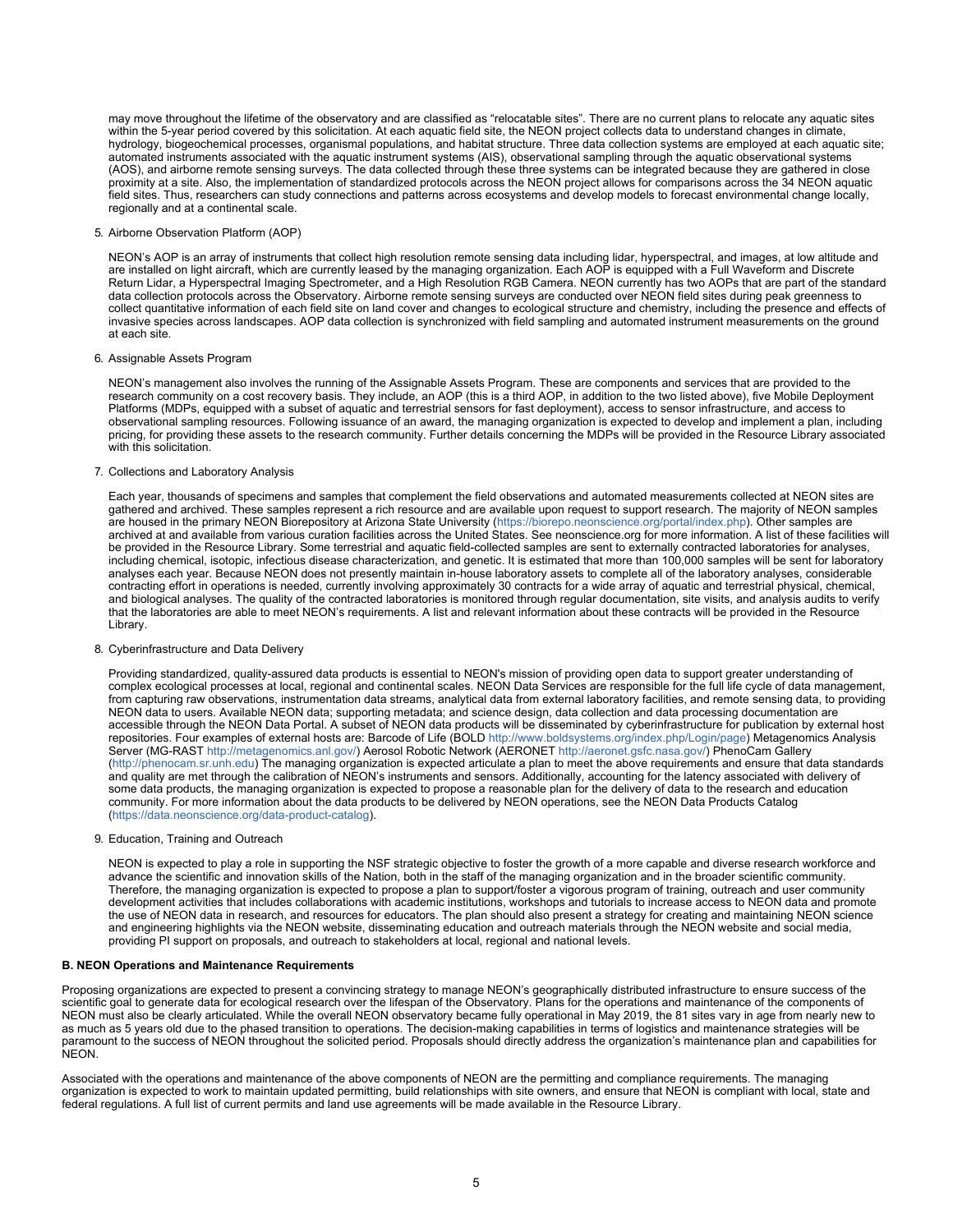may move throughout the lifetime of the observatory and are classified as "relocatable sites". There are no current plans to relocate any aquatic sites within the 5-year period covered by this solicitation. At each aquatic field site, the NEON project collects data to understand changes in climate, hydrology, biogeochemical processes, organismal populations, and habitat structure. Three data collection systems are employed at each aquatic site; automated instruments associated with the aquatic instrument systems (AIS), observational sampling through the aquatic observational systems (AOS), and airborne remote sensing surveys. The data collected through these three systems can be integrated because they are gathered in close proximity at a site. Also, the implementation of standardized protocols across the NEON project allows for comparisons across the 34 NEON aquatic field sites. Thus, researchers can study connections and patterns across ecosystems and develop models to forecast environmental change locally, regionally and at a continental scale.

### 5. Airborne Observation Platform (AOP)

NEON's AOP is an array of instruments that collect high resolution remote sensing data including lidar, hyperspectral, and images, at low altitude and are installed on light aircraft, which are currently leased by the managing organization. Each AOP is equipped with a Full Waveform and Discrete Return Lidar, a Hyperspectral Imaging Spectrometer, and a High Resolution RGB Camera. NEON currently has two AOPs that are part of the standard data collection protocols across the Observatory. Airborne remote sensing surveys are conducted over NEON field sites during peak greenness to collect quantitative information of each field site on land cover and changes to ecological structure and chemistry, including the presence and effects of invasive species across landscapes. AOP data collection is synchronized with field sampling and automated instrument measurements on the ground at each site.

### 6. Assignable Assets Program

NEON's management also involves the running of the Assignable Assets Program. These are components and services that are provided to the research community on a cost recovery basis. They include, an AOP (this is a third AOP, in addition to the two listed above), five Mobile Deployment Platforms (MDPs, equipped with a subset of aquatic and terrestrial sensors for fast deployment), access to sensor infrastructure, and access to observational sampling resources. Following issuance of an award, the managing organization is expected to develop and implement a plan, including pricing, for providing these assets to the research community. Further details concerning the MDPs will be provided in the Resource Library associated with this solicitation.

### 7. Collections and Laboratory Analysis

Each year, thousands of specimens and samples that complement the field observations and automated measurements collected at NEON sites are gathered and archived. These samples represent a rich resource and are available upon request to support research. The majority of NEON samples are housed in the primary NEON Biorepository at Arizona State University [\(https://biorepo.neonscience.org/portal/index.php](https://www.nsf.gov/cgi-bin/goodbye?https://biorepo.neonscience.org/portal/index.php)). Other samples are archived at and available from various curation facilities across the United States. See neonscience.org for more information. A list of these facilities will be provided in the Resource Library. Some terrestrial and aquatic field-collected samples are sent to externally contracted laboratories for analyses, including chemical, isotopic, infectious disease characterization, and genetic. It is estimated that more than 100,000 samples will be sent for laboratory analyses each year. Because NEON does not presently maintain in-house laboratory assets to complete all of the laboratory analyses, considerable contracting effort in operations is needed, currently involving approximately 30 contracts for a wide array of aquatic and terrestrial physical, chemical, and biological analyses. The quality of the contracted laboratories is monitored through regular documentation, site visits, and analysis audits to verify that the laboratories are able to meet NEON's requirements. A list and relevant information about these contracts will be provided in the Resource Library.

#### 8. Cyberinfrastructure and Data Delivery

Providing standardized, quality-assured data products is essential to NEON's mission of providing open data to support greater understanding of complex ecological processes at local, regional and continental scales. NEON Data Services are responsible for the full life cycle of data management, from capturing raw observations, instrumentation data streams, analytical data from external laboratory facilities, and remote sensing data, to providing NEON data to users. Available NEON data; supporting metadata; and science design, data collection and data processing documentation are accessible through the NEON Data Portal. A subset of NEON data products will be disseminated by cyberinfrastructure for publication by external host repositories. Four examples of external hosts are: Barcode of Life (BOLD [http://www.boldsystems.org/index.php/Login/page](https://www.nsf.gov/cgi-bin/goodbye?http://www.boldsystems.org/index.php/Login/page)) Metagenomics Analysis Server (MG-RAST<http://metagenomics.anl.gov/>) Aerosol Robotic Network (AERONET [http://aeronet.gsfc.nasa.gov/\)](http://aeronet.gsfc.nasa.gov/) PhenoCam Gallery [\(http://phenocam.sr.unh.edu](https://www.nsf.gov/cgi-bin/goodbye?http://phenocam.sr.unh.edu)) The managing organization is expected articulate a plan to meet the above requirements and ensure that data standards and quality are met through the calibration of NEON's instruments and sensors. Additionally, accounting for the latency associated with delivery of some data products, the managing organization is expected to propose a reasonable plan for the delivery of data to the research and education community. For more information about the data products to be delivered by NEON operations, see the NEON Data Products Catalog [\(https://data.neonscience.org/data-product-catalog](https://www.nsf.gov/cgi-bin/goodbye?https://data.neonscience.org/data-product-catalog)).

#### 9. Education, Training and Outreach

NEON is expected to play a role in supporting the NSF strategic objective to foster the growth of a more capable and diverse research workforce and advance the scientific and innovation skills of the Nation, both in the staff of the managing organization and in the broader scientific community. Therefore, the managing organization is expected to propose a plan to support/foster a vigorous program of training, outreach and user community development activities that includes collaborations with academic institutions, workshops and tutorials to increase access to NEON data and promote the use of NEON data in research, and resources for educators. The plan should also present a strategy for creating and maintaining NEON science and engineering highlights via the NEON website, disseminating education and outreach materials through the NEON website and social media, providing PI support on proposals, and outreach to stakeholders at local, regional and national levels.

### **B. NEON Operations and Maintenance Requirements**

Proposing organizations are expected to present a convincing strategy to manage NEON's geographically distributed infrastructure to ensure success of the scientific goal to generate data for ecological research over the lifespan of the Observatory. Plans for the operations and maintenance of the components of NEON must also be clearly articulated. While the overall NEON observatory became fully operational in May 2019, the 81 sites vary in age from nearly new to as much as 5 years old due to the phased transition to operations. The decision-making capabilities in terms of logistics and maintenance strategies will be paramount to the success of NEON throughout the solicited period. Proposals should directly address the organization's maintenance plan and capabilities for **NEON** 

Associated with the operations and maintenance of the above components of NEON are the permitting and compliance requirements. The managing organization is expected to work to maintain updated permitting, build relationships with site owners, and ensure that NEON is compliant with local, state and federal regulations. A full list of current permits and land use agreements will be made available in the Resource Library.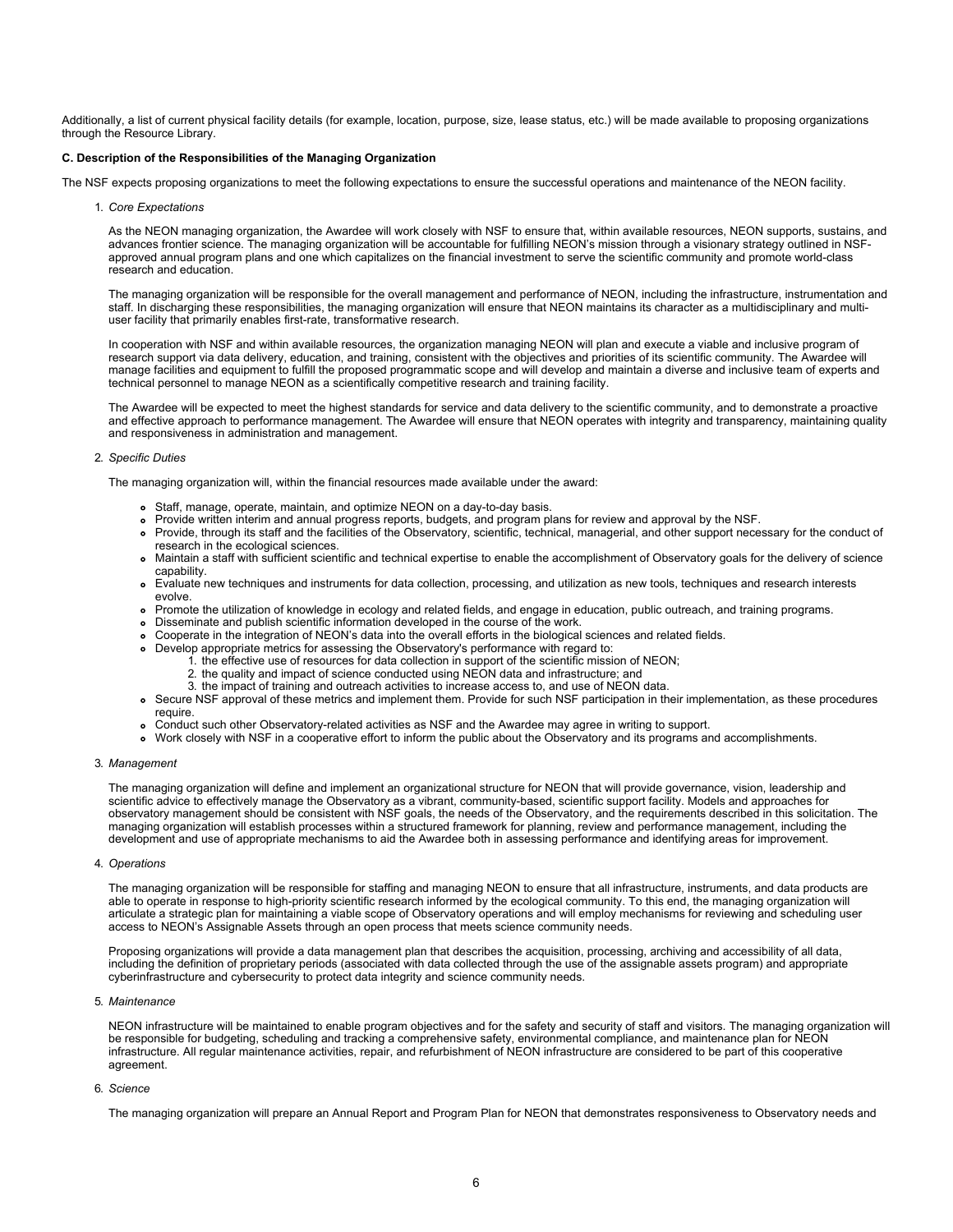Additionally, a list of current physical facility details (for example, location, purpose, size, lease status, etc.) will be made available to proposing organizations through the Resource Library.

### **C. Description of the Responsibilities of the Managing Organization**

The NSF expects proposing organizations to meet the following expectations to ensure the successful operations and maintenance of the NEON facility.

1. *Core Expectations*

As the NEON managing organization, the Awardee will work closely with NSF to ensure that, within available resources, NEON supports, sustains, and advances frontier science. The managing organization will be accountable for fulfilling NEON's mission through a visionary strategy outlined in NSFapproved annual program plans and one which capitalizes on the financial investment to serve the scientific community and promote world-class research and education.

The managing organization will be responsible for the overall management and performance of NEON, including the infrastructure, instrumentation and staff. In discharging these responsibilities, the managing organization will ensure that NEON maintains its character as a multidisciplinary and multiuser facility that primarily enables first-rate, transformative research.

In cooperation with NSF and within available resources, the organization managing NEON will plan and execute a viable and inclusive program of research support via data delivery, education, and training, consistent with the objectives and priorities of its scientific community. The Awardee will manage facilities and equipment to fulfill the proposed programmatic scope and will develop and maintain a diverse and inclusive team of experts and technical personnel to manage NEON as a scientifically competitive research and training facility.

The Awardee will be expected to meet the highest standards for service and data delivery to the scientific community, and to demonstrate a proactive and effective approach to performance management. The Awardee will ensure that NEON operates with integrity and transparency, maintaining quality and responsiveness in administration and management.

#### 2. *Specific Duties*

The managing organization will, within the financial resources made available under the award:

- Staff, manage, operate, maintain, and optimize NEON on a day-to-day basis.
- Provide written interim and annual progress reports, budgets, and program plans for review and approval by the NSF.
- Provide, through its staff and the facilities of the Observatory, scientific, technical, managerial, and other support necessary for the conduct of research in the ecological sciences.
- Maintain a staff with sufficient scientific and technical expertise to enable the accomplishment of Observatory goals for the delivery of science capability.
- Evaluate new techniques and instruments for data collection, processing, and utilization as new tools, techniques and research interests evolve.
- Promote the utilization of knowledge in ecology and related fields, and engage in education, public outreach, and training programs.
- Disseminate and publish scientific information developed in the course of the work.
- Cooperate in the integration of NEON's data into the overall efforts in the biological sciences and related fields.
- Develop appropriate metrics for assessing the Observatory's performance with regard to:
	- 1. the effective use of resources for data collection in support of the scientific mission of NEON;<br>2. the quality and impact of science conducted using NEON data and infrastructure: and
		- the quality and impact of science conducted using NEON data and infrastructure; and
		- 3. the impact of training and outreach activities to increase access to, and use of NEON data.
- Secure NSF approval of these metrics and implement them. Provide for such NSF participation in their implementation, as these procedures require.
- Conduct such other Observatory-related activities as NSF and the Awardee may agree in writing to support.
- Work closely with NSF in a cooperative effort to inform the public about the Observatory and its programs and accomplishments.

### 3. *Management*

The managing organization will define and implement an organizational structure for NEON that will provide governance, vision, leadership and scientific advice to effectively manage the Observatory as a vibrant, community-based, scientific support facility. Models and approaches for observatory management should be consistent with NSF goals, the needs of the Observatory, and the requirements described in this solicitation. The managing organization will establish processes within a structured framework for planning, review and performance management, including the development and use of appropriate mechanisms to aid the Awardee both in assessing performance and identifying areas for improvement.

### 4. *Operations*

The managing organization will be responsible for staffing and managing NEON to ensure that all infrastructure, instruments, and data products are able to operate in response to high-priority scientific research informed by the ecological community. To this end, the managing organization will articulate a strategic plan for maintaining a viable scope of Observatory operations and will employ mechanisms for reviewing and scheduling user access to NEON's Assignable Assets through an open process that meets science community needs.

Proposing organizations will provide a data management plan that describes the acquisition, processing, archiving and accessibility of all data, including the definition of proprietary periods (associated with data collected through the use of the assignable assets program) and appropriate cyberinfrastructure and cybersecurity to protect data integrity and science community needs.

### 5. *Maintenance*

NEON infrastructure will be maintained to enable program objectives and for the safety and security of staff and visitors. The managing organization will be responsible for budgeting, scheduling and tracking a comprehensive safety, environmental compliance, and maintenance plan for NEON infrastructure. All regular maintenance activities, repair, and refurbishment of NEON infrastructure are considered to be part of this cooperative agreement.

### 6. *Science*

The managing organization will prepare an Annual Report and Program Plan for NEON that demonstrates responsiveness to Observatory needs and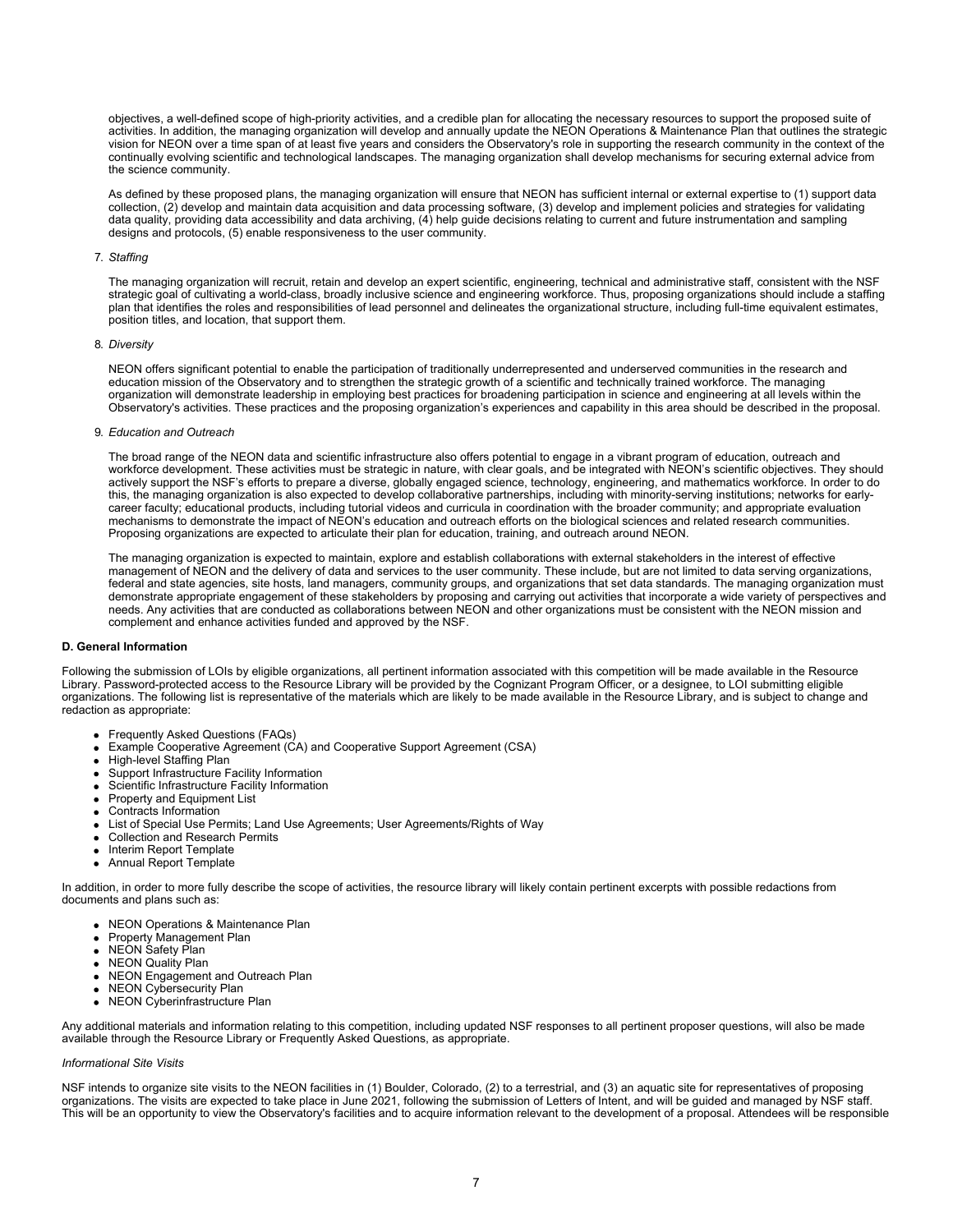objectives, a well-defined scope of high-priority activities, and a credible plan for allocating the necessary resources to support the proposed suite of activities. In addition, the managing organization will develop and annually update the NEON Operations & Maintenance Plan that outlines the strategic vision for NEON over a time span of at least five years and considers the Observatory's role in supporting the research community in the context of the continually evolving scientific and technological landscapes. The managing organization shall develop mechanisms for securing external advice from the science community.

As defined by these proposed plans, the managing organization will ensure that NEON has sufficient internal or external expertise to (1) support data collection, (2) develop and maintain data acquisition and data processing software, (3) develop and implement policies and strategies for validating data quality, providing data accessibility and data archiving, (4) help guide decisions relating to current and future instrumentation and sampling designs and protocols, (5) enable responsiveness to the user community.

#### 7. *Staffing*

The managing organization will recruit, retain and develop an expert scientific, engineering, technical and administrative staff, consistent with the NSF strategic goal of cultivating a world-class, broadly inclusive science and engineering workforce. Thus, proposing organizations should include a staffing plan that identifies the roles and responsibilities of lead personnel and delineates the organizational structure, including full-time equivalent estimates, position titles, and location, that support them.

### 8. *Diversity*

NEON offers significant potential to enable the participation of traditionally underrepresented and underserved communities in the research and education mission of the Observatory and to strengthen the strategic growth of a scientific and technically trained workforce. The managing organization will demonstrate leadership in employing best practices for broadening participation in science and engineering at all levels within the Observatory's activities. These practices and the proposing organization's experiences and capability in this area should be described in the proposal.

#### 9. *Education and Outreach*

The broad range of the NEON data and scientific infrastructure also offers potential to engage in a vibrant program of education, outreach and workforce development. These activities must be strategic in nature, with clear goals, and be integrated with NEON's scientific objectives. They should actively support the NSF's efforts to prepare a diverse, globally engaged science, technology, engineering, and mathematics workforce. In order to do this, the managing organization is also expected to develop collaborative partnerships, including with minority-serving institutions; networks for earlycareer faculty; educational products, including tutorial videos and curricula in coordination with the broader community; and appropriate evaluation mechanisms to demonstrate the impact of NEON's education and outreach efforts on the biological sciences and related research communities. Proposing organizations are expected to articulate their plan for education, training, and outreach around NEON.

The managing organization is expected to maintain, explore and establish collaborations with external stakeholders in the interest of effective management of NEON and the delivery of data and services to the user community. These include, but are not limited to data serving organizations, federal and state agencies, site hosts, land managers, community groups, and organizations that set data standards. The managing organization must demonstrate appropriate engagement of these stakeholders by proposing and carrying out activities that incorporate a wide variety of perspectives and needs. Any activities that are conducted as collaborations between NEON and other organizations must be consistent with the NEON mission and complement and enhance activities funded and approved by the NSF.

#### **D. General Information**

Following the submission of LOIs by eligible organizations, all pertinent information associated with this competition will be made available in the Resource Library. Password-protected access to the Resource Library will be provided by the Cognizant Program Officer, or a designee, to LOI submitting eligible organizations. The following list is representative of the materials which are likely to be made available in the Resource Library, and is subject to change and redaction as appropriate:

- Frequently Asked Questions (FAQs)
- Example Cooperative Agreement (CA) and Cooperative Support Agreement (CSA)
- High-level Staffing Plan
- Support Infrastructure Facility Information
- Scientific Infrastructure Facility Information
- Property and Equipment List
- Contracts Information
- List of Special Use Permits; Land Use Agreements; User Agreements/Rights of Way
- Collection and Research Permits
- Interim Report Template
- Annual Report Template

In addition, in order to more fully describe the scope of activities, the resource library will likely contain pertinent excerpts with possible redactions from documents and plans such as:

- NEON Operations & Maintenance Plan
- Property Management Plan
- NEON Safety Plan
- NEON Quality Plan
- NEON Engagement and Outreach Plan  $\bullet$
- NEON Cybersecurity Plan
- NEON Cyberinfrastructure Plan

Any additional materials and information relating to this competition, including updated NSF responses to all pertinent proposer questions, will also be made available through the Resource Library or Frequently Asked Questions, as appropriate.

#### *Informational Site Visits*

NSF intends to organize site visits to the NEON facilities in (1) Boulder, Colorado, (2) to a terrestrial, and (3) an aquatic site for representatives of proposing organizations. The visits are expected to take place in June 2021, following the submission of Letters of Intent, and will be guided and managed by NSF staff. This will be an opportunity to view the Observatory's facilities and to acquire information relevant to the development of a proposal. Attendees will be responsible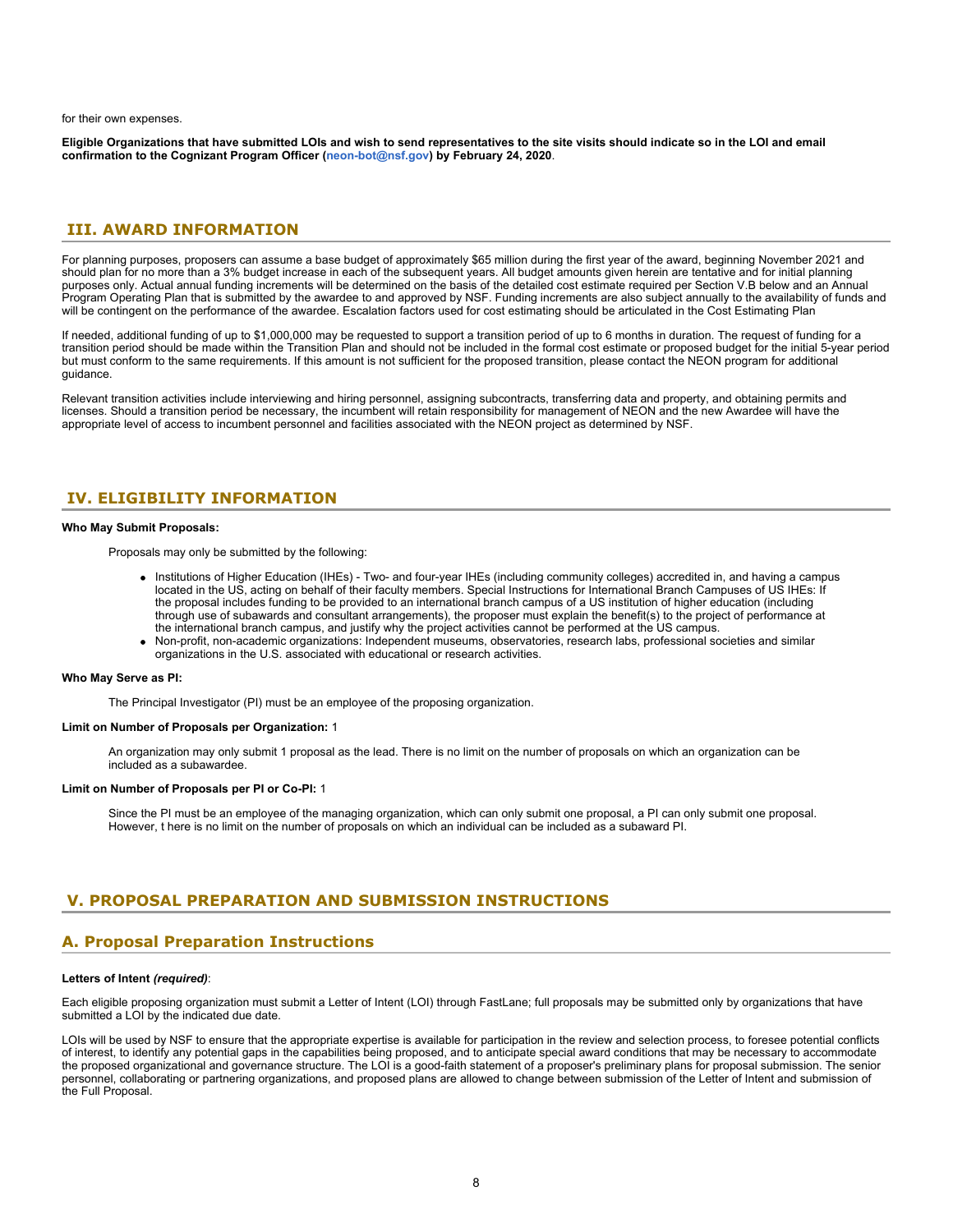for their own expenses.

**Eligible Organizations that have submitted LOIs and wish to send representatives to the site visits should indicate so in the LOI and email confirmation to the Cognizant Program Officer [\(neon-bot@nsf.gov](mailto:neon-bot@nsf.gov)) by February 24, 2020**.

# <span id="page-7-0"></span>**III. AWARD INFORMATION**

For planning purposes, proposers can assume a base budget of approximately \$65 million during the first year of the award, beginning November 2021 and should plan for no more than a 3% budget increase in each of the subsequent years. All budget amounts given herein are tentative and for initial planning purposes only. Actual annual funding increments will be determined on the basis of the detailed cost estimate required per Section V.B below and an Annual Program Operating Plan that is submitted by the awardee to and approved by NSF. Funding increments are also subject annually to the availability of funds and will be contingent on the performance of the awardee. Escalation factors used for cost estimating should be articulated in the Cost Estimating Plan

If needed, additional funding of up to \$1,000,000 may be requested to support a transition period of up to 6 months in duration. The request of funding for a transition period should be made within the Transition Plan and should not be included in the formal cost estimate or proposed budget for the initial 5-year period but must conform to the same requirements. If this amount is not sufficient for the proposed transition, please contact the NEON program for additional guidance.

Relevant transition activities include interviewing and hiring personnel, assigning subcontracts, transferring data and property, and obtaining permits and licenses. Should a transition period be necessary, the incumbent will retain responsibility for management of NEON and the new Awardee will have the appropriate level of access to incumbent personnel and facilities associated with the NEON project as determined by NSF.

# <span id="page-7-1"></span>**IV. ELIGIBILITY INFORMATION**

### **Who May Submit Proposals:**

Proposals may only be submitted by the following:

- Institutions of Higher Education (IHEs) Two- and four-year IHEs (including community colleges) accredited in, and having a campus located in the US, acting on behalf of their faculty members. Special Instructions for International Branch Campuses of US IHEs: If the proposal includes funding to be provided to an international branch campus of a US institution of higher education (including through use of subawards and consultant arrangements), the proposer must explain the benefit(s) to the project of performance at the international branch campus, and justify why the project activities cannot be performed at the US campus.
- Non-profit, non-academic organizations: Independent museums, observatories, research labs, professional societies and similar organizations in the U.S. associated with educational or research activities.

### **Who May Serve as PI:**

The Principal Investigator (PI) must be an employee of the proposing organization.

#### **Limit on Number of Proposals per Organization:** 1

An organization may only submit 1 proposal as the lead. There is no limit on the number of proposals on which an organization can be included as a subawardee.

### **Limit on Number of Proposals per PI or Co-PI:** 1

Since the PI must be an employee of the managing organization, which can only submit one proposal, a PI can only submit one proposal. However, t here is no limit on the number of proposals on which an individual can be included as a subaward PI.

# <span id="page-7-2"></span>**V. PROPOSAL PREPARATION AND SUBMISSION INSTRUCTIONS**

# **A. Proposal Preparation Instructions**

### **Letters of Intent** *(required)*:

Each eligible proposing organization must submit a Letter of Intent (LOI) through FastLane; full proposals may be submitted only by organizations that have submitted a LOI by the indicated due date.

LOIs will be used by NSF to ensure that the appropriate expertise is available for participation in the review and selection process, to foresee potential conflicts of interest, to identify any potential gaps in the capabilities being proposed, and to anticipate special award conditions that may be necessary to accommodate the proposed organizational and governance structure. The LOI is a good-faith statement of a proposer's preliminary plans for proposal submission. The senior personnel, collaborating or partnering organizations, and proposed plans are allowed to change between submission of the Letter of Intent and submission of the Full Proposal.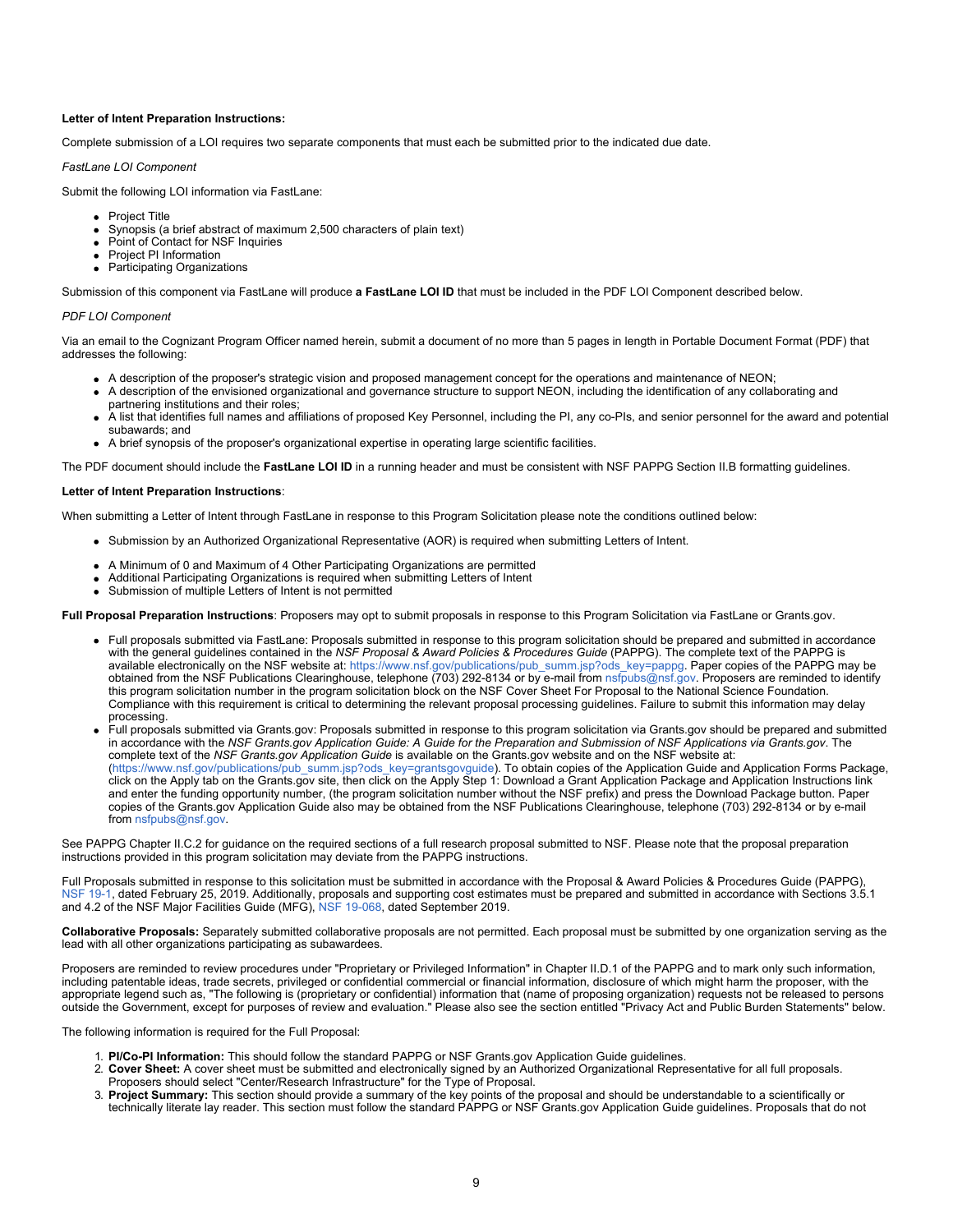### **Letter of Intent Preparation Instructions:**

Complete submission of a LOI requires two separate components that must each be submitted prior to the indicated due date.

*FastLane LOI Component*

Submit the following LOI information via FastLane:

- Project Title
- Synopsis (a brief abstract of maximum 2,500 characters of plain text)
- Point of Contact for NSF Inquiries
- Project PI Information
- Participating Organizations

Submission of this component via FastLane will produce **a FastLane LOI ID** that must be included in the PDF LOI Component described below.

#### *PDF LOI Component*

Via an email to the Cognizant Program Officer named herein, submit a document of no more than 5 pages in length in Portable Document Format (PDF) that addresses the following:

- A description of the proposer's strategic vision and proposed management concept for the operations and maintenance of NEON;
- A description of the envisioned organizational and governance structure to support NEON, including the identification of any collaborating and partnering institutions and their roles;
- A list that identifies full names and affiliations of proposed Key Personnel, including the PI, any co-PIs, and senior personnel for the award and potential subawards; and
- A brief synopsis of the proposer's organizational expertise in operating large scientific facilities.

The PDF document should include the **FastLane LOI ID** in a running header and must be consistent with NSF PAPPG Section II.B formatting guidelines.

#### **Letter of Intent Preparation Instructions**:

When submitting a Letter of Intent through FastLane in response to this Program Solicitation please note the conditions outlined below:

- Submission by an Authorized Organizational Representative (AOR) is required when submitting Letters of Intent.
- A Minimum of 0 and Maximum of 4 Other Participating Organizations are permitted
- Additional Participating Organizations is required when submitting Letters of Intent
- Submission of multiple Letters of Intent is not permitted

**Full Proposal Preparation Instructions**: Proposers may opt to submit proposals in response to this Program Solicitation via FastLane or Grants.gov.

- Full proposals submitted via FastLane: Proposals submitted in response to this program solicitation should be prepared and submitted in accordance with the general guidelines contained in the *NSF Proposal & Award Policies & Procedures Guide* (PAPPG). The complete text of the PAPPG is available electronically on the NSF website at: [https://www.nsf.gov/publications/pub\\_summ.jsp?ods\\_key=pappg](https://www.nsf.gov/publications/pub_summ.jsp?ods_key=pappg). Paper copies of the PAPPG may be obtained from the NSF Publications Clearinghouse, telephone (703) 292-8134 or by e-mail from [nsfpubs@nsf.gov](mailto:nsfpubs@nsf.gov). Proposers are reminded to identify this program solicitation number in the program solicitation block on the NSF Cover Sheet For Proposal to the National Science Foundation. Compliance with this requirement is critical to determining the relevant proposal processing guidelines. Failure to submit this information may delay processing.
- Full proposals submitted via Grants.gov: Proposals submitted in response to this program solicitation via Grants.gov should be prepared and submitted in accordance with the *NSF Grants.gov Application Guide: A Guide for the Preparation and Submission of NSF Applications via Grants.gov*. The complete text of the *NSF Grants.gov Application Guide* is available on the Grants.gov website and on the NSF website at: [\(https://www.nsf.gov/publications/pub\\_summ.jsp?ods\\_key=grantsgovguide](https://www.nsf.gov/publications/pub_summ.jsp?ods_key=grantsgovguide)). To obtain copies of the Application Guide and Application Forms Package, click on the Apply tab on the Grants.gov site, then click on the Apply Step 1: Download a Grant Application Package and Application Instructions link and enter the funding opportunity number, (the program solicitation number without the NSF prefix) and press the Download Package button. Paper copies of the Grants.gov Application Guide also may be obtained from the NSF Publications Clearinghouse, telephone (703) 292-8134 or by e-mail from [nsfpubs@nsf.gov](mailto:nsfpubs@nsf.gov).

See PAPPG Chapter II.C.2 for guidance on the required sections of a full research proposal submitted to NSF. Please note that the proposal preparation instructions provided in this program solicitation may deviate from the PAPPG instructions.

Full Proposals submitted in response to this solicitation must be submitted in accordance with the Proposal & Award Policies & Procedures Guide (PAPPG), [NSF 19-1,](https://www.nsf.gov/publications/pub_summ.jsp?ods_key=pappg) dated February 25, 2019. Additionally, proposals and supporting cost estimates must be prepared and submitted in accordance with Sections 3.5.1 and 4.2 of the NSF Major Facilities Guide (MFG), [NSF 19-068](https://www.nsf.gov/publications/pub_summ.jsp?ods_key=nsf19068), dated September 2019.

**Collaborative Proposals:** Separately submitted collaborative proposals are not permitted. Each proposal must be submitted by one organization serving as the lead with all other organizations participating as subawardees.

Proposers are reminded to review procedures under "Proprietary or Privileged Information" in Chapter II.D.1 of the PAPPG and to mark only such information, including patentable ideas, trade secrets, privileged or confidential commercial or financial information, disclosure of which might harm the proposer, with the appropriate legend such as, "The following is (proprietary or confidential) information that (name of proposing organization) requests not be released to persons outside the Government, except for purposes of review and evaluation." Please also see the section entitled "Privacy Act and Public Burden Statements" below.

The following information is required for the Full Proposal:

- 1. **PI/Co-PI Information:** This should follow the standard PAPPG or NSF Grants.gov Application Guide guidelines.
- 2. **Cover Sheet:** A cover sheet must be submitted and electronically signed by an Authorized Organizational Representative for all full proposals. Proposers should select "Center/Research Infrastructure" for the Type of Proposal.
- 3. **Project Summary:** This section should provide a summary of the key points of the proposal and should be understandable to a scientifically or technically literate lay reader. This section must follow the standard PAPPG or NSF Grants.gov Application Guide guidelines. Proposals that do not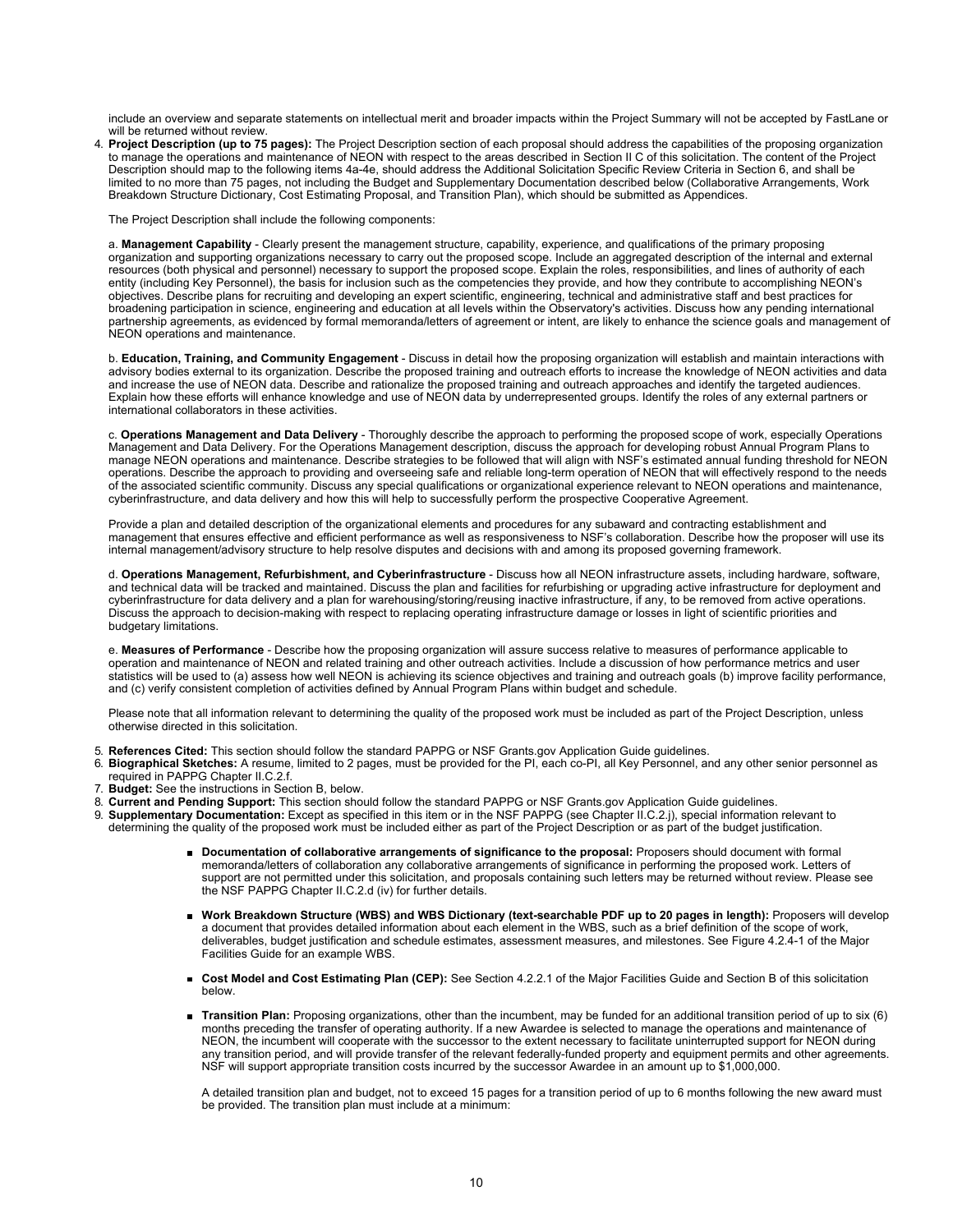include an overview and separate statements on intellectual merit and broader impacts within the Project Summary will not be accepted by FastLane or will be returned without review.

4. **Project Description (up to 75 pages):** The Project Description section of each proposal should address the capabilities of the proposing organization to manage the operations and maintenance of NEON with respect to the areas described in Section II C of this solicitation. The content of the Project Description should map to the following items 4a-4e, should address the Additional Solicitation Specific Review Criteria in Section 6, and shall be limited to no more than 75 pages, not including the Budget and Supplementary Documentation described below (Collaborative Arrangements, Work Breakdown Structure Dictionary, Cost Estimating Proposal, and Transition Plan), which should be submitted as Appendices.

The Project Description shall include the following components:

a. **Management Capability** - Clearly present the management structure, capability, experience, and qualifications of the primary proposing organization and supporting organizations necessary to carry out the proposed scope. Include an aggregated description of the internal and external resources (both physical and personnel) necessary to support the proposed scope. Explain the roles, responsibilities, and lines of authority of each entity (including Key Personnel), the basis for inclusion such as the competencies they provide, and how they contribute to accomplishing NEON's objectives. Describe plans for recruiting and developing an expert scientific, engineering, technical and administrative staff and best practices for broadening participation in science, engineering and education at all levels within the Observatory's activities. Discuss how any pending international partnership agreements, as evidenced by formal memoranda/letters of agreement or intent, are likely to enhance the science goals and management of NEON operations and maintenance.

b. **Education, Training, and Community Engagement** - Discuss in detail how the proposing organization will establish and maintain interactions with advisory bodies external to its organization. Describe the proposed training and outreach efforts to increase the knowledge of NEON activities and data and increase the use of NEON data. Describe and rationalize the proposed training and outreach approaches and identify the targeted audiences. Explain how these efforts will enhance knowledge and use of NEON data by underrepresented groups. Identify the roles of any external partners or international collaborators in these activities.

c. **Operations Management and Data Delivery** - Thoroughly describe the approach to performing the proposed scope of work, especially Operations Management and Data Delivery. For the Operations Management description, discuss the approach for developing robust Annual Program Plans to manage NEON operations and maintenance. Describe strategies to be followed that will align with NSF's estimated annual funding threshold for NEON operations. Describe the approach to providing and overseeing safe and reliable long-term operation of NEON that will effectively respond to the needs of the associated scientific community. Discuss any special qualifications or organizational experience relevant to NEON operations and maintenance, cyberinfrastructure, and data delivery and how this will help to successfully perform the prospective Cooperative Agreement.

Provide a plan and detailed description of the organizational elements and procedures for any subaward and contracting establishment and management that ensures effective and efficient performance as well as responsiveness to NSF's collaboration. Describe how the proposer will use its internal management/advisory structure to help resolve disputes and decisions with and among its proposed governing framework.

d. **Operations Management, Refurbishment, and Cyberinfrastructure** - Discuss how all NEON infrastructure assets, including hardware, software, and technical data will be tracked and maintained. Discuss the plan and facilities for refurbishing or upgrading active infrastructure for deployment and cyberinfrastructure for data delivery and a plan for warehousing/storing/reusing inactive infrastructure, if any, to be removed from active operations. Discuss the approach to decision-making with respect to replacing operating infrastructure damage or losses in light of scientific priorities and budgetary limitations.

e. **Measures of Performance** - Describe how the proposing organization will assure success relative to measures of performance applicable to operation and maintenance of NEON and related training and other outreach activities. Include a discussion of how performance metrics and user statistics will be used to (a) assess how well NEON is achieving its science objectives and training and outreach goals (b) improve facility performance, and (c) verify consistent completion of activities defined by Annual Program Plans within budget and schedule.

Please note that all information relevant to determining the quality of the proposed work must be included as part of the Project Description, unless otherwise directed in this solicitation.

- 5. **References Cited:** This section should follow the standard PAPPG or NSF Grants.gov Application Guide guidelines.<br>6. **Biographical Sketches:** A resume, limited to 2 pages, must be provided for the PL each co-PL all Key
- 6. **Biographical Sketches:** A resume, limited to 2 pages, must be provided for the PI, each co-PI, all Key Personnel, and any other senior personnel as required in PAPPG Chapter II.C.2.f.
- 7. **Budget:** See the instructions in Section B, below.
- 8. **Current and Pending Support:** This section should follow the standard PAPPG or NSF Grants.gov Application Guide guidelines.
- 9. **Supplementary Documentation:** Except as specified in this item or in the NSF PAPPG (see Chapter II.C.2.j), special information relevant to determining the quality of the proposed work must be included either as part of the Project Description or as part of the budget justification.
	- **Documentation of collaborative arrangements of significance to the proposal:** Proposers should document with formal memoranda/letters of collaboration any collaborative arrangements of significance in performing the proposed work. Letters of support are not permitted under this solicitation, and proposals containing such letters may be returned without review. Please see the NSF PAPPG Chapter II.C.2.d (iv) for further details.
	- **Work Breakdown Structure (WBS) and WBS Dictionary (text-searchable PDF up to 20 pages in length):** Proposers will develop a document that provides detailed information about each element in the WBS, such as a brief definition of the scope of work, deliverables, budget justification and schedule estimates, assessment measures, and milestones. See Figure 4.2.4-1 of the Major Facilities Guide for an example WBS.
	- **Cost Model and Cost Estimating Plan (CEP):** See Section 4.2.2.1 of the Major Facilities Guide and Section B of this solicitation below.
	- **Transition Plan:** Proposing organizations, other than the incumbent, may be funded for an additional transition period of up to six (6) months preceding the transfer of operating authority. If a new Awardee is selected to manage the operations and maintenance of NEON, the incumbent will cooperate with the successor to the extent necessary to facilitate uninterrupted support for NEON during any transition period, and will provide transfer of the relevant federally-funded property and equipment permits and other agreements. NSF will support appropriate transition costs incurred by the successor Awardee in an amount up to \$1,000,000.

A detailed transition plan and budget, not to exceed 15 pages for a transition period of up to 6 months following the new award must be provided. The transition plan must include at a minimum: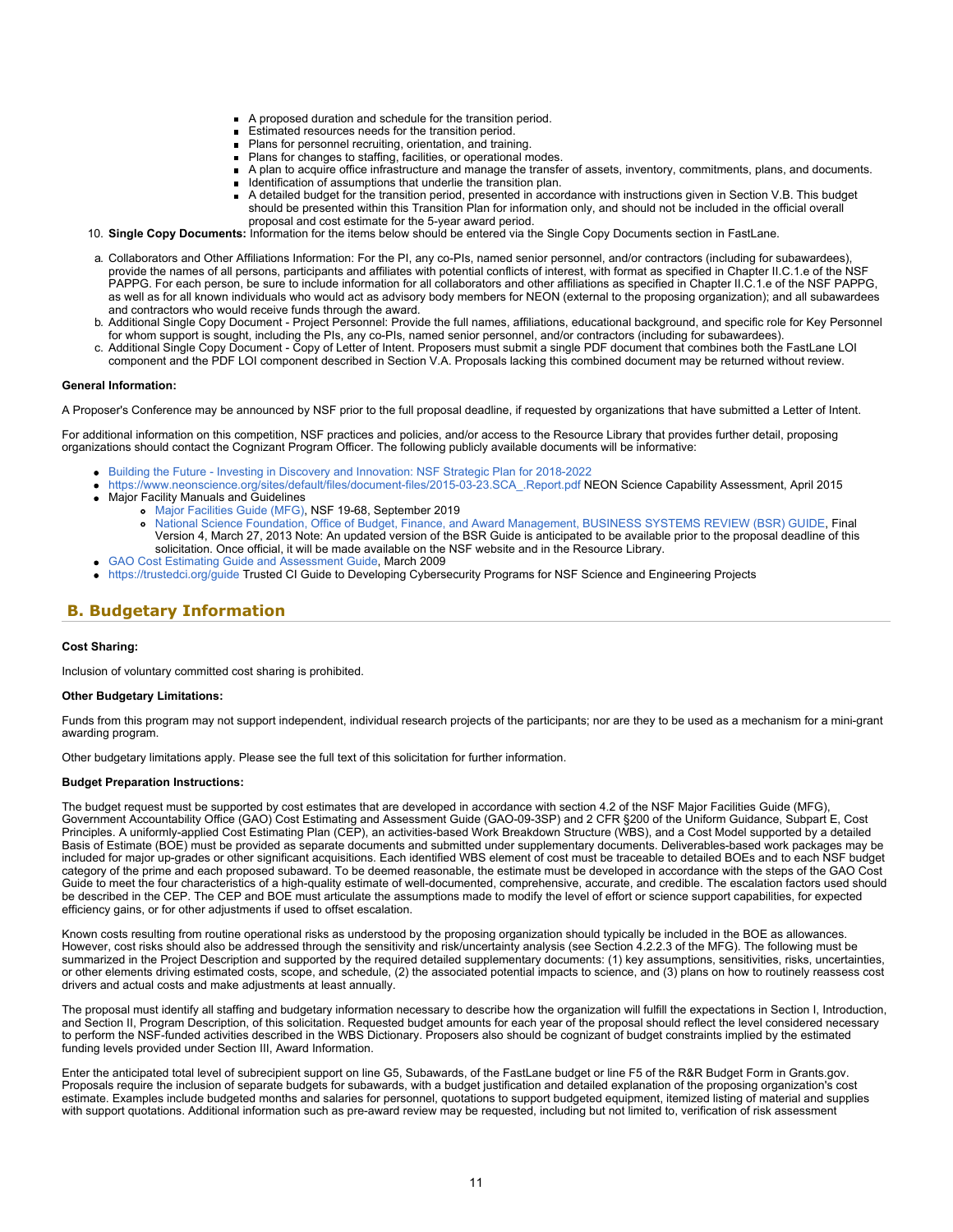- A proposed duration and schedule for the transition period.
- **Estimated resources needs for the transition period.**
- **Plans for personnel recruiting, orientation, and training.**
- Plans for changes to staffing, facilities, or operational modes.
- A plan to acquire office infrastructure and manage the transfer of assets, inventory, commitments, plans, and documents. Identification of assumptions that underlie the transition plan.
- A detailed budget for the transition period, presented in accordance with instructions given in Section V.B. This budget
- should be presented within this Transition Plan for information only, and should not be included in the official overall proposal and cost estimate for the 5-year award period.
- 10. **Single Copy Documents:** Information for the items below should be entered via the Single Copy Documents section in FastLane.
- a. Collaborators and Other Affiliations Information: For the PI, any co-PIs, named senior personnel, and/or contractors (including for subawardees), provide the names of all persons, participants and affiliates with potential conflicts of interest, with format as specified in Chapter II.C.1.e of the NSF PAPPG. For each person, be sure to include information for all collaborators and other affiliations as specified in Chapter II.C.1.e of the NSF PAPPG, as well as for all known individuals who would act as advisory body members for NEON (external to the proposing organization); and all subawardees and contractors who would receive funds through the award.
- b. Additional Single Copy Document Project Personnel: Provide the full names, affiliations, educational background, and specific role for Key Personnel for whom support is sought, including the PIs, any co-PIs, named senior personnel, and/or contractors (including for subawardees).
- c. Additional Single Copy Document Copy of Letter of Intent. Proposers must submit a single PDF document that combines both the FastLane LOI component and the PDF LOI component described in Section V.A. Proposals lacking this combined document may be returned without review.

### **General Information:**

A Proposer's Conference may be announced by NSF prior to the full proposal deadline, if requested by organizations that have submitted a Letter of Intent.

For additional information on this competition, NSF practices and policies, and/or access to the Resource Library that provides further detail, proposing organizations should contact the Cognizant Program Officer. The following publicly available documents will be informative:

- [Building the Future Investing in Discovery and Innovation: NSF Strategic Plan for 2018-2022](https://www.nsf.gov/publications/pub_summ.jsp?ods_key=nsf18045)
- [https://www.neonscience.org/sites/default/files/document-files/2015-03-23.SCA\\_.Report.pdf](https://www.nsf.gov/cgi-bin/goodbye?https://www.neonscience.org/sites/default/files/document-files/2015-03-23.SCA_.Report.pdf) NEON Science Capability Assessment, April 2015 Major Facility Manuals and Guidelines
	- [Major Facilities Guide \(MFG\)](https://www.nsf.gov/publications/pub_summ.jsp?ods_key=nsf19068), NSF 19-68, September 2019
		- [National Science Foundation, Office of Budget, Finance, and Award Management, BUSINESS SYSTEMS REVIEW \(BSR\) GUIDE,](https://www.nsf.gov/publications/pub_summ.jsp?ods_key=nsf13100) Final Version 4, March 27, 2013 Note: An updated version of the BSR Guide is anticipated to be available prior to the proposal deadline of this solicitation. Once official, it will be made available on the NSF website and in the Resource Library.
- [GAO Cost Estimating Guide and Assessment Guide,](https://www.gao.gov/new.items/d093sp.pdf) March 2009
- [https://trustedci.org/guide](https://www.nsf.gov/cgi-bin/goodbye?https://trustedci.org/guide) Trusted CI Guide to Developing Cybersecurity Programs for NSF Science and Engineering Projects

# <span id="page-10-0"></span>**B. Budgetary Information**

### **Cost Sharing:**

Inclusion of voluntary committed cost sharing is prohibited.

#### **Other Budgetary Limitations:**

Funds from this program may not support independent, individual research projects of the participants; nor are they to be used as a mechanism for a mini-grant awarding program.

Other budgetary limitations apply. Please see the full text of this solicitation for further information.

#### **Budget Preparation Instructions:**

The budget request must be supported by cost estimates that are developed in accordance with section 4.2 of the NSF Major Facilities Guide (MFG), Government Accountability Office (GAO) Cost Estimating and Assessment Guide (GAO-09-3SP) and 2 CFR §200 of the Uniform Guidance, Subpart E, Cost Principles. A uniformly-applied Cost Estimating Plan (CEP), an activities-based Work Breakdown Structure (WBS), and a Cost Model supported by a detailed Basis of Estimate (BOE) must be provided as separate documents and submitted under supplementary documents. Deliverables-based work packages may be included for major up-grades or other significant acquisitions. Each identified WBS element of cost must be traceable to detailed BOEs and to each NSF budget category of the prime and each proposed subaward. To be deemed reasonable, the estimate must be developed in accordance with the steps of the GAO Cost Guide to meet the four characteristics of a high-quality estimate of well-documented, comprehensive, accurate, and credible. The escalation factors used should be described in the CEP. The CEP and BOE must articulate the assumptions made to modify the level of effort or science support capabilities, for expected efficiency gains, or for other adjustments if used to offset escalation.

Known costs resulting from routine operational risks as understood by the proposing organization should typically be included in the BOE as allowances. However, cost risks should also be addressed through the sensitivity and risk/uncertainty analysis (see Section 4.2.2.3 of the MFG). The following must be summarized in the Project Description and supported by the required detailed supplementary documents: (1) key assumptions, sensitivities, risks, uncertainties, or other elements driving estimated costs, scope, and schedule, (2) the associated potential impacts to science, and (3) plans on how to routinely reassess cost drivers and actual costs and make adjustments at least annually.

The proposal must identify all staffing and budgetary information necessary to describe how the organization will fulfill the expectations in Section I, Introduction, and Section II, Program Description, of this solicitation. Requested budget amounts for each year of the proposal should reflect the level considered necessary to perform the NSF-funded activities described in the WBS Dictionary. Proposers also should be cognizant of budget constraints implied by the estimated funding levels provided under Section III, Award Information.

Enter the anticipated total level of subrecipient support on line G5, Subawards, of the FastLane budget or line F5 of the R&R Budget Form in Grants.gov. Proposals require the inclusion of separate budgets for subawards, with a budget justification and detailed explanation of the proposing organization's cost estimate. Examples include budgeted months and salaries for personnel, quotations to support budgeted equipment, itemized listing of material and supplies with support quotations. Additional information such as pre-award review may be requested, including but not limited to, verification of risk assessment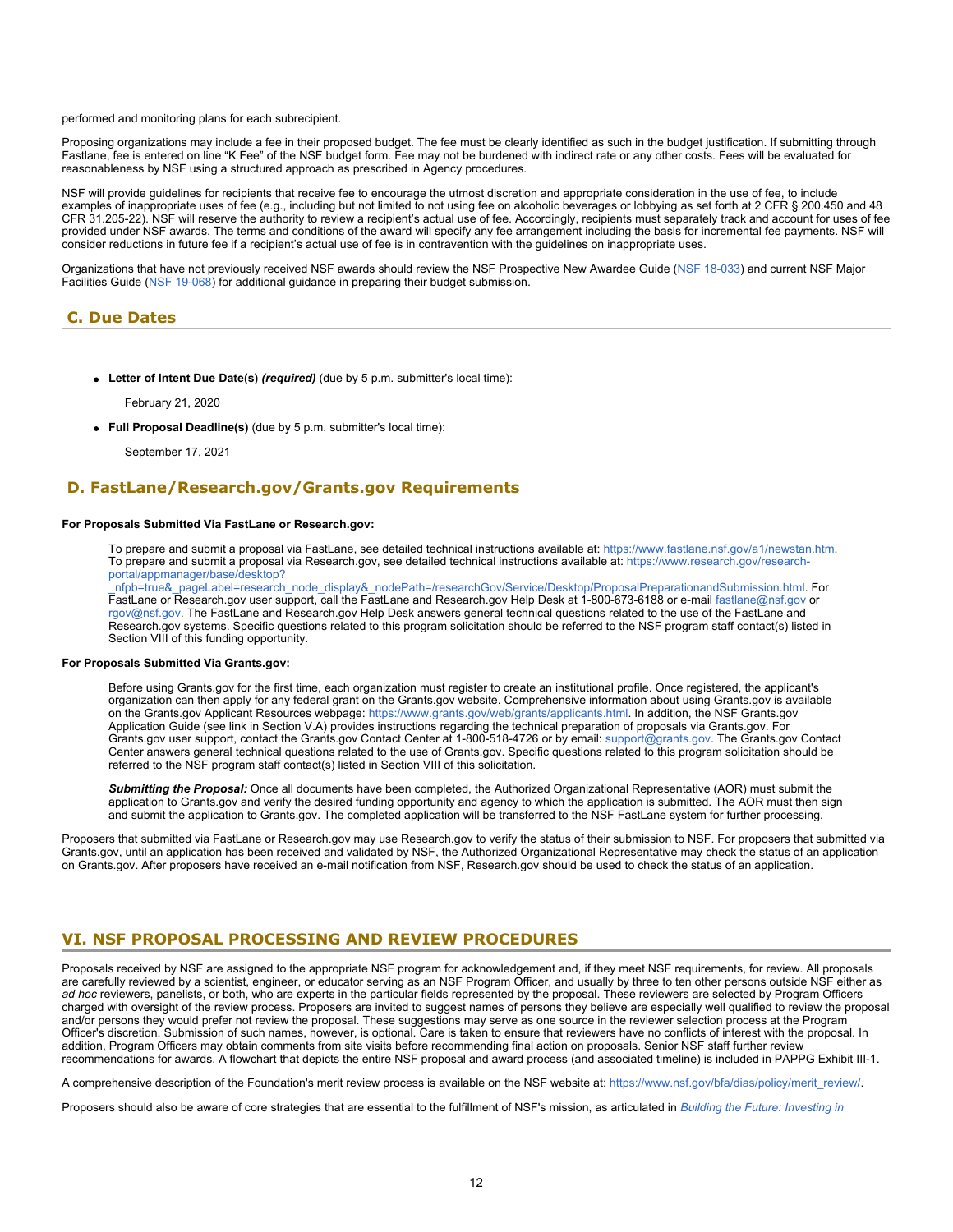performed and monitoring plans for each subrecipient.

Proposing organizations may include a fee in their proposed budget. The fee must be clearly identified as such in the budget justification. If submitting through Fastlane, fee is entered on line "K Fee" of the NSF budget form. Fee may not be burdened with indirect rate or any other costs. Fees will be evaluated for reasonableness by NSF using a structured approach as prescribed in Agency procedures.

NSF will provide guidelines for recipients that receive fee to encourage the utmost discretion and appropriate consideration in the use of fee, to include examples of inappropriate uses of fee (e.g., including but not limited to not using fee on alcoholic beverages or lobbying as set forth at 2 CFR § 200.450 and 48 CFR 31.205-22). NSF will reserve the authority to review a recipient's actual use of fee. Accordingly, recipients must separately track and account for uses of fee provided under NSF awards. The terms and conditions of the award will specify any fee arrangement including the basis for incremental fee payments. NSF will consider reductions in future fee if a recipient's actual use of fee is in contravention with the guidelines on inappropriate uses.

Organizations that have not previously received NSF awards should review the NSF Prospective New Awardee Guide [\(NSF 18-033](https://www.nsf.gov/publications/pub_summ.jsp?ods_key=nsf18033)) and current NSF Major Facilities Guide [\(NSF 19-068](https://www.nsf.gov/publications/pub_summ.jsp?ods_key=nsf19068)) for additional guidance in preparing their budget submission.

### <span id="page-11-0"></span>**C. Due Dates**

**Letter of Intent Due Date(s)** *(required)* (due by 5 p.m. submitter's local time):

February 21, 2020

**Full Proposal Deadline(s)** (due by 5 p.m. submitter's local time):

September 17, 2021

### <span id="page-11-1"></span>**D. FastLane/Research.gov/Grants.gov Requirements**

### **For Proposals Submitted Via FastLane or Research.gov:**

To prepare and submit a proposal via FastLane, see detailed technical instructions available at: <https://www.fastlane.nsf.gov/a1/newstan.htm>. To prepare and submit a proposal via Research.gov, see detailed technical instructions available at: [https://www.research.gov/research](https://www.research.gov/research-portal/appmanager/base/desktop?_nfpb=true&_pageLabel=research_node_display&_nodePath=/researchGov/Service/Desktop/ProposalPreparationandSubmission.html)[portal/appmanager/base/desktop?](https://www.research.gov/research-portal/appmanager/base/desktop?_nfpb=true&_pageLabel=research_node_display&_nodePath=/researchGov/Service/Desktop/ProposalPreparationandSubmission.html)

[\\_nfpb=true&\\_pageLabel=research\\_node\\_display&\\_nodePath=/researchGov/Service/Desktop/ProposalPreparationandSubmission.html](https://www.research.gov/research-portal/appmanager/base/desktop?_nfpb=true&_pageLabel=research_node_display&_nodePath=/researchGov/Service/Desktop/ProposalPreparationandSubmission.html). For FastLane or Research.gov user support, call the FastLane and Research.gov Help Desk at 1-800-673-6188 or e-mail [fastlane@nsf.gov](mailto:fastlane@nsf.gov) or [rgov@nsf.gov](mailto:rgov@nsf.gov). The FastLane and Research.gov Help Desk answers general technical questions related to the use of the FastLane and Research.gov systems. Specific questions related to this program solicitation should be referred to the NSF program staff contact(s) listed in Section VIII of this funding opportunity.

#### **For Proposals Submitted Via Grants.gov:**

Before using Grants.gov for the first time, each organization must register to create an institutional profile. Once registered, the applicant's organization can then apply for any federal grant on the Grants.gov website. Comprehensive information about using Grants.gov is available on the Grants.gov Applicant Resources webpage:<https://www.grants.gov/web/grants/applicants.html>. In addition, the NSF Grants.gov Application Guide (see link in Section V.A) provides instructions regarding the technical preparation of proposals via Grants.gov. For Grants.gov user support, contact the Grants.gov Contact Center at 1-800-518-4726 or by email: [support@grants.gov.](mailto:support@grants.gov) The Grants.gov Contact Center answers general technical questions related to the use of Grants.gov. Specific questions related to this program solicitation should be referred to the NSF program staff contact(s) listed in Section VIII of this solicitation.

*Submitting the Proposal:* Once all documents have been completed, the Authorized Organizational Representative (AOR) must submit the application to Grants.gov and verify the desired funding opportunity and agency to which the application is submitted. The AOR must then sign and submit the application to Grants.gov. The completed application will be transferred to the NSF FastLane system for further processing.

Proposers that submitted via FastLane or Research.gov may use Research.gov to verify the status of their submission to NSF. For proposers that submitted via Grants.gov, until an application has been received and validated by NSF, the Authorized Organizational Representative may check the status of an application on Grants.gov. After proposers have received an e-mail notification from NSF, Research.gov should be used to check the status of an application.

# <span id="page-11-2"></span>**VI. NSF PROPOSAL PROCESSING AND REVIEW PROCEDURES**

Proposals received by NSF are assigned to the appropriate NSF program for acknowledgement and, if they meet NSF requirements, for review. All proposals are carefully reviewed by a scientist, engineer, or educator serving as an NSF Program Officer, and usually by three to ten other persons outside NSF either as *ad hoc* reviewers, panelists, or both, who are experts in the particular fields represented by the proposal. These reviewers are selected by Program Officers charged with oversight of the review process. Proposers are invited to suggest names of persons they believe are especially well qualified to review the proposal and/or persons they would prefer not review the proposal. These suggestions may serve as one source in the reviewer selection process at the Program Officer's discretion. Submission of such names, however, is optional. Care is taken to ensure that reviewers have no conflicts of interest with the proposal. In addition, Program Officers may obtain comments from site visits before recommending final action on proposals. Senior NSF staff further review recommendations for awards. A flowchart that depicts the entire NSF proposal and award process (and associated timeline) is included in PAPPG Exhibit III-1.

A comprehensive description of the Foundation's merit review process is available on the NSF website at: [https://www.nsf.gov/bfa/dias/policy/merit\\_review/](https://www.nsf.gov/bfa/dias/policy/merit_review/).

Proposers should also be aware of core strategies that are essential to the fulfillment of NSF's mission, as articulated in *[Building the Future: Investing in](https://www.nsf.gov/publications/pub_summ.jsp?ods_key=nsf18045)*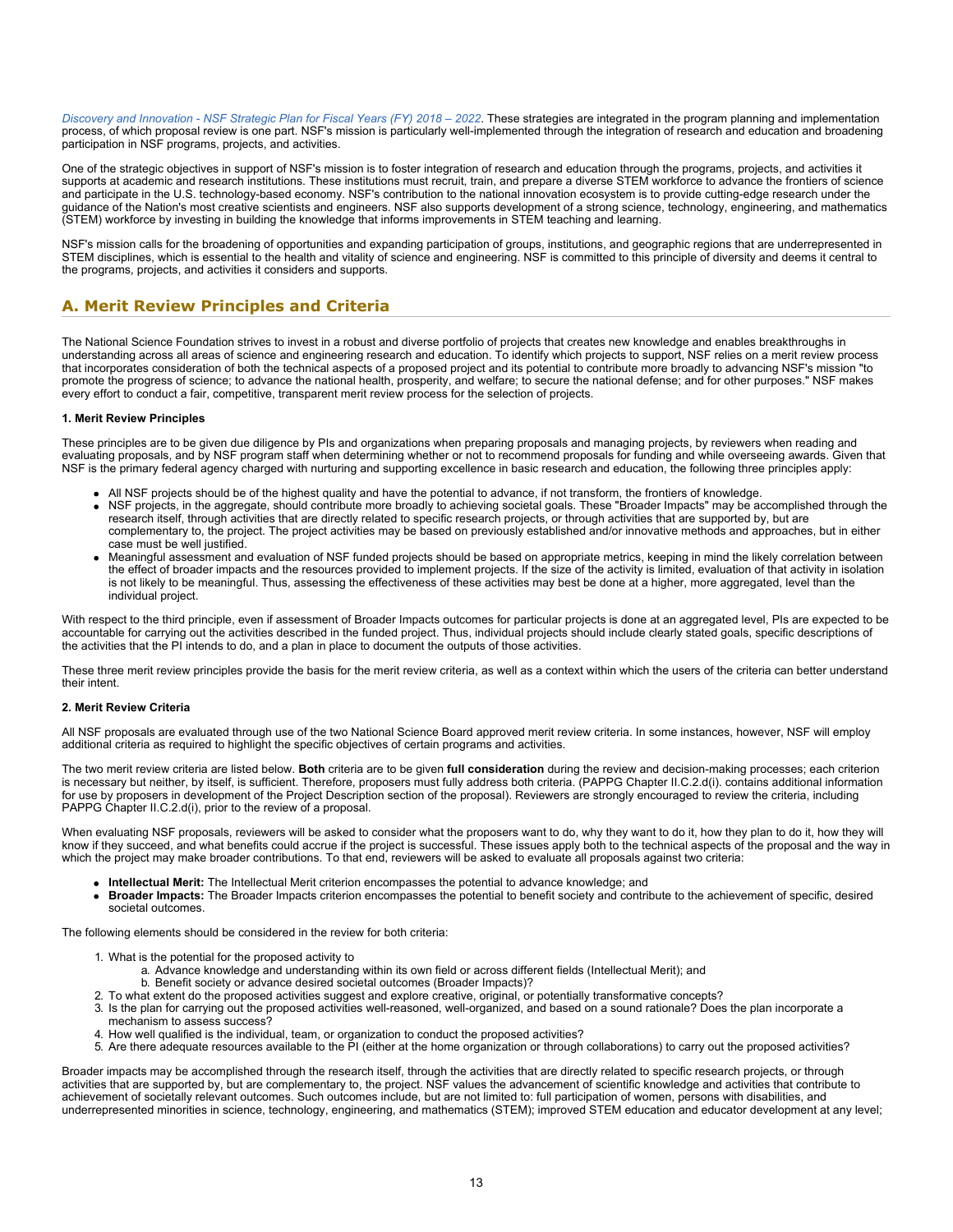*[Discovery and Innovation - NSF Strategic Plan for Fiscal Years \(FY\) 2018 – 2022](https://www.nsf.gov/publications/pub_summ.jsp?ods_key=nsf18045)*. These strategies are integrated in the program planning and implementation process, of which proposal review is one part. NSF's mission is particularly well-implemented through the integration of research and education and broadening participation in NSF programs, projects, and activities.

One of the strategic objectives in support of NSF's mission is to foster integration of research and education through the programs, projects, and activities it supports at academic and research institutions. These institutions must recruit, train, and prepare a diverse STEM workforce to advance the frontiers of science and participate in the U.S. technology-based economy. NSF's contribution to the national innovation ecosystem is to provide cutting-edge research under the guidance of the Nation's most creative scientists and engineers. NSF also supports development of a strong science, technology, engineering, and mathematics (STEM) workforce by investing in building the knowledge that informs improvements in STEM teaching and learning.

NSF's mission calls for the broadening of opportunities and expanding participation of groups, institutions, and geographic regions that are underrepresented in STEM disciplines, which is essential to the health and vitality of science and engineering. NSF is committed to this principle of diversity and deems it central to the programs, projects, and activities it considers and supports.

### <span id="page-12-0"></span>**A. Merit Review Principles and Criteria**

The National Science Foundation strives to invest in a robust and diverse portfolio of projects that creates new knowledge and enables breakthroughs in understanding across all areas of science and engineering research and education. To identify which projects to support, NSF relies on a merit review process that incorporates consideration of both the technical aspects of a proposed project and its potential to contribute more broadly to advancing NSF's mission "to promote the progress of science; to advance the national health, prosperity, and welfare; to secure the national defense; and for other purposes." NSF makes every effort to conduct a fair, competitive, transparent merit review process for the selection of projects.

### **1. Merit Review Principles**

These principles are to be given due diligence by PIs and organizations when preparing proposals and managing projects, by reviewers when reading and evaluating proposals, and by NSF program staff when determining whether or not to recommend proposals for funding and while overseeing awards. Given that NSF is the primary federal agency charged with nurturing and supporting excellence in basic research and education, the following three principles apply:

- All NSF projects should be of the highest quality and have the potential to advance, if not transform, the frontiers of knowledge.
- NSF projects, in the aggregate, should contribute more broadly to achieving societal goals. These "Broader Impacts" may be accomplished through the research itself, through activities that are directly related to specific research projects, or through activities that are supported by, but are complementary to, the project. The project activities may be based on previously established and/or innovative methods and approaches, but in either case must be well justified.
- Meaningful assessment and evaluation of NSF funded projects should be based on appropriate metrics, keeping in mind the likely correlation between the effect of broader impacts and the resources provided to implement projects. If the size of the activity is limited, evaluation of that activity in isolation is not likely to be meaningful. Thus, assessing the effectiveness of these activities may best be done at a higher, more aggregated, level than the individual project.

With respect to the third principle, even if assessment of Broader Impacts outcomes for particular projects is done at an aggregated level, PIs are expected to be accountable for carrying out the activities described in the funded project. Thus, individual projects should include clearly stated goals, specific descriptions of the activities that the PI intends to do, and a plan in place to document the outputs of those activities.

These three merit review principles provide the basis for the merit review criteria, as well as a context within which the users of the criteria can better understand their intent.

### **2. Merit Review Criteria**

All NSF proposals are evaluated through use of the two National Science Board approved merit review criteria. In some instances, however, NSF will employ additional criteria as required to highlight the specific objectives of certain programs and activities.

The two merit review criteria are listed below. **Both** criteria are to be given **full consideration** during the review and decision-making processes; each criterion is necessary but neither, by itself, is sufficient. Therefore, proposers must fully address both criteria. (PAPPG Chapter II.C.2.d(i). contains additional information for use by proposers in development of the Project Description section of the proposal). Reviewers are strongly encouraged to review the criteria, including PAPPG Chapter II.C.2.d(i), prior to the review of a proposal.

When evaluating NSF proposals, reviewers will be asked to consider what the proposers want to do, why they want to do it, how they plan to do it, how they will know if they succeed, and what benefits could accrue if the project is successful. These issues apply both to the technical aspects of the proposal and the way in which the project may make broader contributions. To that end, reviewers will be asked to evaluate all proposals against two criteria:

- **Intellectual Merit:** The Intellectual Merit criterion encompasses the potential to advance knowledge; and
- **Broader Impacts:** The Broader Impacts criterion encompasses the potential to benefit society and contribute to the achievement of specific, desired societal outcomes.

The following elements should be considered in the review for both criteria:

- 1. What is the potential for the proposed activity to
	- a. Advance knowledge and understanding within its own field or across different fields (Intellectual Merit); and
	- b. Benefit society or advance desired societal outcomes (Broader Impacts)?
- 2. To what extent do the proposed activities suggest and explore creative, original, or potentially transformative concepts?
- 3. Is the plan for carrying out the proposed activities well-reasoned, well-organized, and based on a sound rationale? Does the plan incorporate a mechanism to assess success?
- 4. How well qualified is the individual, team, or organization to conduct the proposed activities?
- 5. Are there adequate resources available to the PI (either at the home organization or through collaborations) to carry out the proposed activities?

Broader impacts may be accomplished through the research itself, through the activities that are directly related to specific research projects, or through activities that are supported by, but are complementary to, the project. NSF values the advancement of scientific knowledge and activities that contribute to achievement of societally relevant outcomes. Such outcomes include, but are not limited to: full participation of women, persons with disabilities, and underrepresented minorities in science, technology, engineering, and mathematics (STEM); improved STEM education and educator development at any level;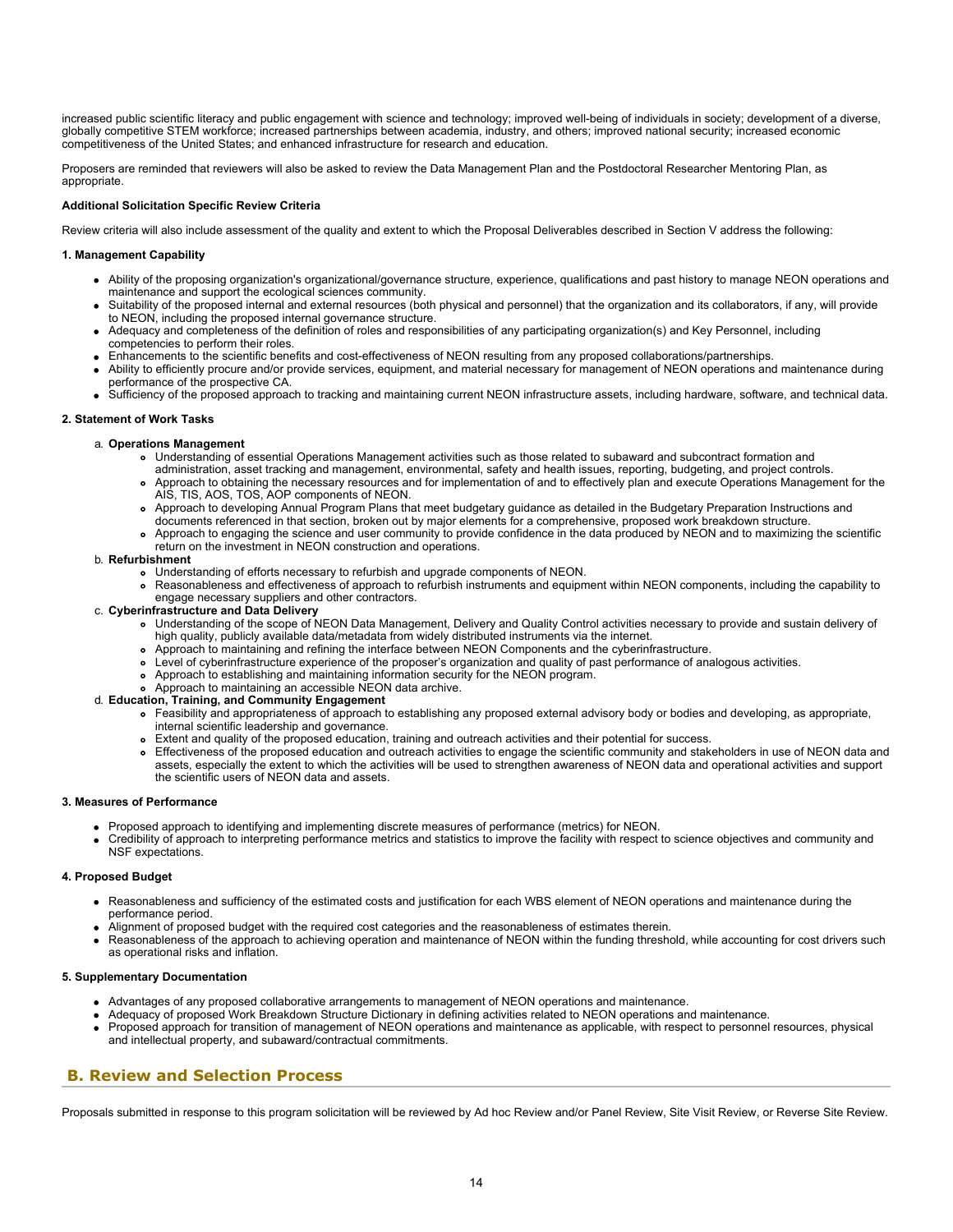increased public scientific literacy and public engagement with science and technology; improved well-being of individuals in society; development of a diverse, globally competitive STEM workforce; increased partnerships between academia, industry, and others; improved national security; increased economic competitiveness of the United States; and enhanced infrastructure for research and education.

Proposers are reminded that reviewers will also be asked to review the Data Management Plan and the Postdoctoral Researcher Mentoring Plan, as appropriate.

### **Additional Solicitation Specific Review Criteria**

Review criteria will also include assessment of the quality and extent to which the Proposal Deliverables described in Section V address the following:

### **1. Management Capability**

- Ability of the proposing organization's organizational/governance structure, experience, qualifications and past history to manage NEON operations and maintenance and support the ecological sciences community.
- Suitability of the proposed internal and external resources (both physical and personnel) that the organization and its collaborators, if any, will provide to NEON, including the proposed internal governance structure.
- Adequacy and completeness of the definition of roles and responsibilities of any participating organization(s) and Key Personnel, including competencies to perform their roles.
- Enhancements to the scientific benefits and cost-effectiveness of NEON resulting from any proposed collaborations/partnerships.
- Ability to efficiently procure and/or provide services, equipment, and material necessary for management of NEON operations and maintenance during performance of the prospective CA.
- Sufficiency of the proposed approach to tracking and maintaining current NEON infrastructure assets, including hardware, software, and technical data.

### **2. Statement of Work Tasks**

### a. **Operations Management**

- Understanding of essential Operations Management activities such as those related to subaward and subcontract formation and
- administration, asset tracking and management, environmental, safety and health issues, reporting, budgeting, and project controls. Approach to obtaining the necessary resources and for implementation of and to effectively plan and execute Operations Management for the AIS, TIS, AOS, TOS, AOP components of NEON.
- Approach to developing Annual Program Plans that meet budgetary guidance as detailed in the Budgetary Preparation Instructions and
- documents referenced in that section, broken out by major elements for a comprehensive, proposed work breakdown structure.
- Approach to engaging the science and user community to provide confidence in the data produced by NEON and to maximizing the scientific return on the investment in NEON construction and operations.

#### b. **Refurbishment**

 $\bullet$ 

- Understanding of efforts necessary to refurbish and upgrade components of NEON.
- Reasonableness and effectiveness of approach to refurbish instruments and equipment within NEON components, including the capability to engage necessary suppliers and other contractors.
- c. **Cyberinfrastructure and Data Delivery**
	- Understanding of the scope of NEON Data Management, Delivery and Quality Control activities necessary to provide and sustain delivery of high quality, publicly available data/metadata from widely distributed instruments via the internet.
	- Approach to maintaining and refining the interface between NEON Components and the cyberinfrastructure.
	- Level of cyberinfrastructure experience of the proposer's organization and quality of past performance of analogous activities.
	- Approach to establishing and maintaining information security for the NEON program.
	- Approach to maintaining an accessible NEON data archive.

### d. **Education, Training, and Community Engagement**

- Feasibility and appropriateness of approach to establishing any proposed external advisory body or bodies and developing, as appropriate, internal scientific leadership and governance.
- Extent and quality of the proposed education, training and outreach activities and their potential for success.
- Effectiveness of the proposed education and outreach activities to engage the scientific community and stakeholders in use of NEON data and assets, especially the extent to which the activities will be used to strengthen awareness of NEON data and operational activities and support the scientific users of NEON data and assets.

#### **3. Measures of Performance**

- Proposed approach to identifying and implementing discrete measures of performance (metrics) for NEON.
- Credibility of approach to interpreting performance metrics and statistics to improve the facility with respect to science objectives and community and NSF expectations.

#### **4. Proposed Budget**

- Reasonableness and sufficiency of the estimated costs and justification for each WBS element of NEON operations and maintenance during the performance period.
- Alignment of proposed budget with the required cost categories and the reasonableness of estimates therein.
- Reasonableness of the approach to achieving operation and maintenance of NEON within the funding threshold, while accounting for cost drivers such as operational risks and inflation.

### **5. Supplementary Documentation**

- Advantages of any proposed collaborative arrangements to management of NEON operations and maintenance.
- Adequacy of proposed Work Breakdown Structure Dictionary in defining activities related to NEON operations and maintenance.
- Proposed approach for transition of management of NEON operations and maintenance as applicable, with respect to personnel resources, physical and intellectual property, and subaward/contractual commitments.

### <span id="page-13-0"></span>**B. Review and Selection Process**

Proposals submitted in response to this program solicitation will be reviewed by Ad hoc Review and/or Panel Review, Site Visit Review, or Reverse Site Review.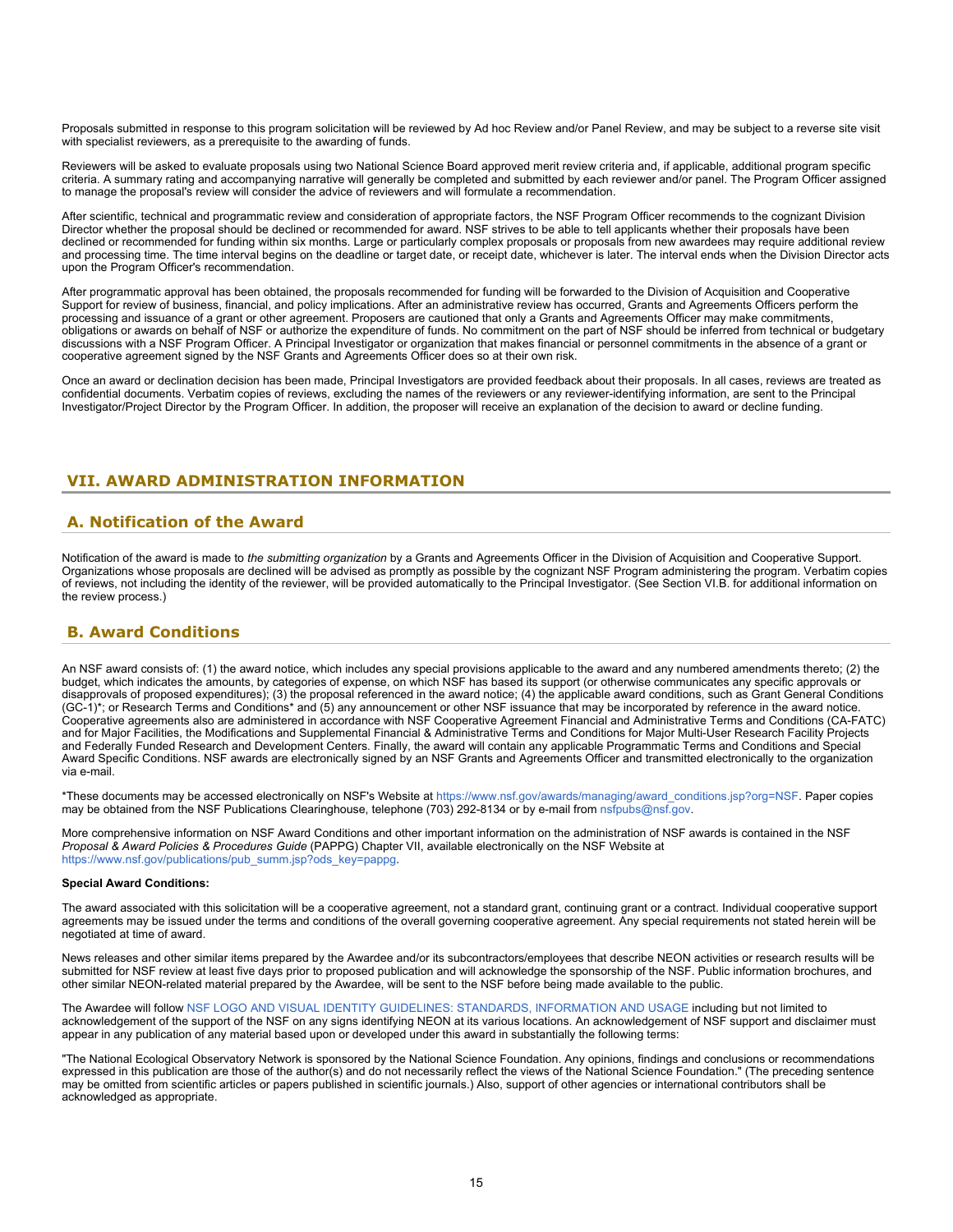Proposals submitted in response to this program solicitation will be reviewed by Ad hoc Review and/or Panel Review, and may be subject to a reverse site visit with specialist reviewers, as a prerequisite to the awarding of funds.

Reviewers will be asked to evaluate proposals using two National Science Board approved merit review criteria and, if applicable, additional program specific criteria. A summary rating and accompanying narrative will generally be completed and submitted by each reviewer and/or panel. The Program Officer assigned to manage the proposal's review will consider the advice of reviewers and will formulate a recommendation.

After scientific, technical and programmatic review and consideration of appropriate factors, the NSF Program Officer recommends to the cognizant Division Director whether the proposal should be declined or recommended for award. NSF strives to be able to tell applicants whether their proposals have been declined or recommended for funding within six months. Large or particularly complex proposals or proposals from new awardees may require additional review and processing time. The time interval begins on the deadline or target date, or receipt date, whichever is later. The interval ends when the Division Director acts upon the Program Officer's recommendation.

After programmatic approval has been obtained, the proposals recommended for funding will be forwarded to the Division of Acquisition and Cooperative Support for review of business, financial, and policy implications. After an administrative review has occurred, Grants and Agreements Officers perform the processing and issuance of a grant or other agreement. Proposers are cautioned that only a Grants and Agreements Officer may make commitments, obligations or awards on behalf of NSF or authorize the expenditure of funds. No commitment on the part of NSF should be inferred from technical or budgetary discussions with a NSF Program Officer. A Principal Investigator or organization that makes financial or personnel commitments in the absence of a grant or cooperative agreement signed by the NSF Grants and Agreements Officer does so at their own risk.

Once an award or declination decision has been made, Principal Investigators are provided feedback about their proposals. In all cases, reviews are treated as confidential documents. Verbatim copies of reviews, excluding the names of the reviewers or any reviewer-identifying information, are sent to the Principal Investigator/Project Director by the Program Officer. In addition, the proposer will receive an explanation of the decision to award or decline funding.

# <span id="page-14-0"></span>**VII. AWARD ADMINISTRATION INFORMATION**

# <span id="page-14-1"></span>**A. Notification of the Award**

Notification of the award is made to *the submitting organization* by a Grants and Agreements Officer in the Division of Acquisition and Cooperative Support. Organizations whose proposals are declined will be advised as promptly as possible by the cognizant NSF Program administering the program. Verbatim copies of reviews, not including the identity of the reviewer, will be provided automatically to the Principal Investigator. (See Section VI.B. for additional information on the review process.)

# <span id="page-14-2"></span>**B. Award Conditions**

An NSF award consists of: (1) the award notice, which includes any special provisions applicable to the award and any numbered amendments thereto; (2) the budget, which indicates the amounts, by categories of expense, on which NSF has based its support (or otherwise communicates any specific approvals or disapprovals of proposed expenditures); (3) the proposal referenced in the award notice; (4) the applicable award conditions, such as Grant General Conditions (GC-1)\*; or Research Terms and Conditions\* and (5) any announcement or other NSF issuance that may be incorporated by reference in the award notice. Cooperative agreements also are administered in accordance with NSF Cooperative Agreement Financial and Administrative Terms and Conditions (CA-FATC) and for Major Facilities, the Modifications and Supplemental Financial & Administrative Terms and Conditions for Major Multi-User Research Facility Projects and Federally Funded Research and Development Centers. Finally, the award will contain any applicable Programmatic Terms and Conditions and Special Award Specific Conditions. NSF awards are electronically signed by an NSF Grants and Agreements Officer and transmitted electronically to the organization via e-mail.

\*These documents may be accessed electronically on NSF's Website at [https://www.nsf.gov/awards/managing/award\\_conditions.jsp?org=NSF](https://www.nsf.gov/awards/managing/award_conditions.jsp?org=NSF). Paper copies may be obtained from the NSF Publications Clearinghouse, telephone (703) 292-8134 or by e-mail from [nsfpubs@nsf.gov.](mailto:nsfpubs@nsf.gov)

More comprehensive information on NSF Award Conditions and other important information on the administration of NSF awards is contained in the NSF *Proposal & Award Policies & Procedures Guide* (PAPPG) Chapter VII, available electronically on the NSF Website at [https://www.nsf.gov/publications/pub\\_summ.jsp?ods\\_key=pappg.](https://www.nsf.gov/publications/pub_summ.jsp?ods_key=pappg)

### **Special Award Conditions:**

The award associated with this solicitation will be a cooperative agreement, not a standard grant, continuing grant or a contract. Individual cooperative support agreements may be issued under the terms and conditions of the overall governing cooperative agreement. Any special requirements not stated herein will be negotiated at time of award.

News releases and other similar items prepared by the Awardee and/or its subcontractors/employees that describe NEON activities or research results will be submitted for NSF review at least five days prior to proposed publication and will acknowledge the sponsorship of the NSF. Public information brochures, and other similar NEON-related material prepared by the Awardee, will be sent to the NSF before being made available to the public.

The Awardee will follow [NSF LOGO AND VISUAL IDENTITY GUIDELINES: STANDARDS, INFORMATION AND USAGE](https://www.nsf.gov/policies/nsf_logo_standards.pdf) including but not limited to acknowledgement of the support of the NSF on any signs identifying NEON at its various locations. An acknowledgement of NSF support and disclaimer must appear in any publication of any material based upon or developed under this award in substantially the following terms:

"The National Ecological Observatory Network is sponsored by the National Science Foundation. Any opinions, findings and conclusions or recommendations expressed in this publication are those of the author(s) and do not necessarily reflect the views of the National Science Foundation." (The preceding sentence may be omitted from scientific articles or papers published in scientific journals.) Also, support of other agencies or international contributors shall be acknowledged as appropriate.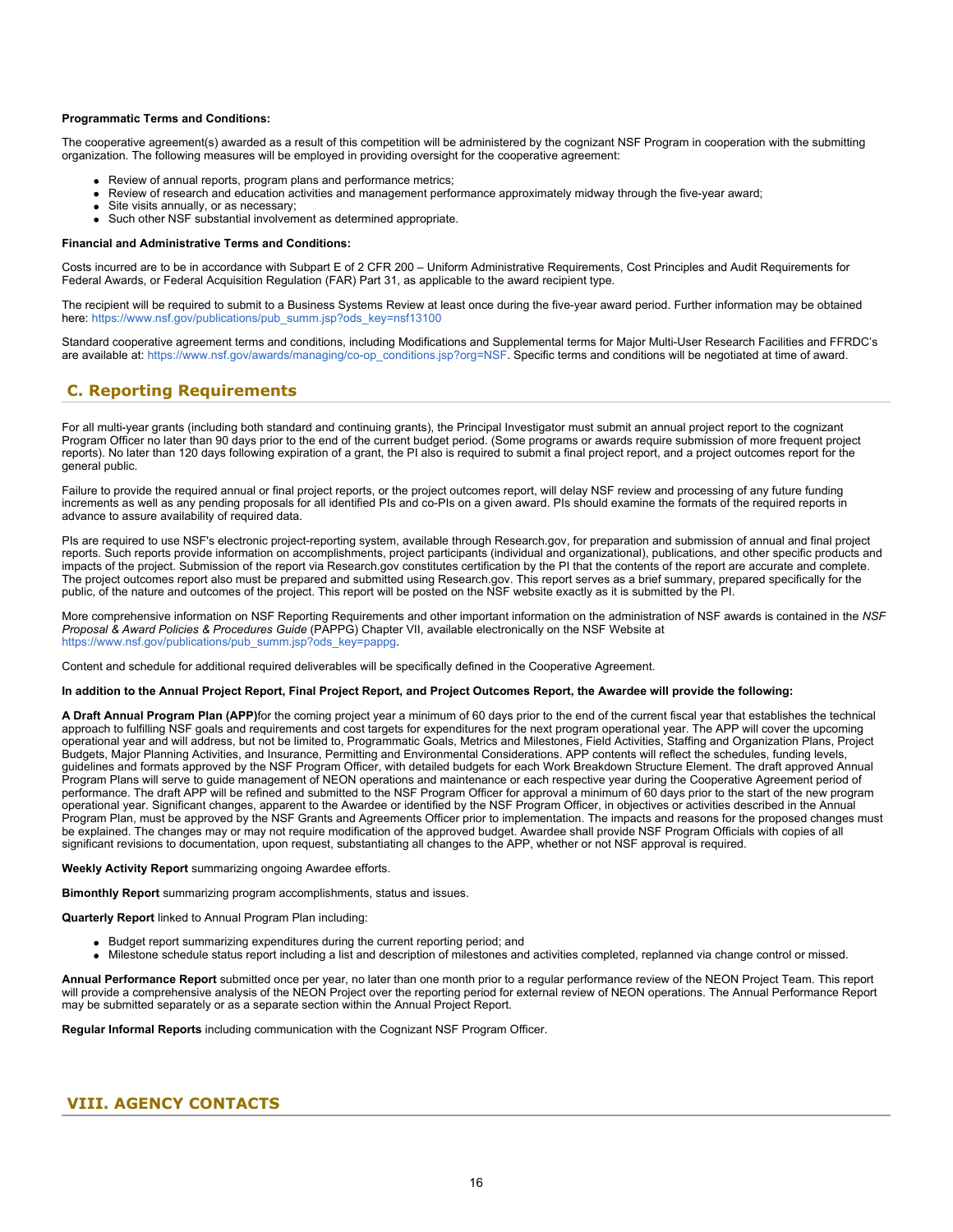### **Programmatic Terms and Conditions:**

The cooperative agreement(s) awarded as a result of this competition will be administered by the cognizant NSF Program in cooperation with the submitting organization. The following measures will be employed in providing oversight for the cooperative agreement:

- Review of annual reports, program plans and performance metrics;
- Review of research and education activities and management performance approximately midway through the five-year award;
- Site visits annually, or as necessary;
- Such other NSF substantial involvement as determined appropriate.

### **Financial and Administrative Terms and Conditions:**

Costs incurred are to be in accordance with Subpart E of 2 CFR 200 – Uniform Administrative Requirements, Cost Principles and Audit Requirements for Federal Awards, or Federal Acquisition Regulation (FAR) Part 31, as applicable to the award recipient type.

The recipient will be required to submit to a Business Systems Review at least once during the five-year award period. Further information may be obtained here: [https://www.nsf.gov/publications/pub\\_summ.jsp?ods\\_key=nsf13100](https://www.nsf.gov/publications/pub_summ.jsp?ods_key=nsf13100)

Standard cooperative agreement terms and conditions, including Modifications and Supplemental terms for Major Multi-User Research Facilities and FFRDC's are available at: [https://www.nsf.gov/awards/managing/co-op\\_conditions.jsp?org=NSF.](https://www.nsf.gov/awards/managing/co-op_conditions.jsp?org=NSF) Specific terms and conditions will be negotiated at time of award.

# <span id="page-15-0"></span>**C. Reporting Requirements**

For all multi-year grants (including both standard and continuing grants), the Principal Investigator must submit an annual project report to the cognizant Program Officer no later than 90 days prior to the end of the current budget period. (Some programs or awards require submission of more frequent project reports). No later than 120 days following expiration of a grant, the PI also is required to submit a final project report, and a project outcomes report for the general public.

Failure to provide the required annual or final project reports, or the project outcomes report, will delay NSF review and processing of any future funding increments as well as any pending proposals for all identified PIs and co-PIs on a given award. PIs should examine the formats of the required reports in advance to assure availability of required data.

PIs are required to use NSF's electronic project-reporting system, available through Research.gov, for preparation and submission of annual and final project reports. Such reports provide information on accomplishments, project participants (individual and organizational), publications, and other specific products and impacts of the project. Submission of the report via Research.gov constitutes certification by the PI that the contents of the report are accurate and complete. The project outcomes report also must be prepared and submitted using Research.gov. This report serves as a brief summary, prepared specifically for the public, of the nature and outcomes of the project. This report will be posted on the NSF website exactly as it is submitted by the PI.

More comprehensive information on NSF Reporting Requirements and other important information on the administration of NSF awards is contained in the *NSF Proposal & Award Policies & Procedures Guide* (PAPPG) Chapter VII, available electronically on the NSF Website at [https://www.nsf.gov/publications/pub\\_summ.jsp?ods\\_key=pappg.](https://www.nsf.gov/publications/pub_summ.jsp?ods_key=pappg)

Content and schedule for additional required deliverables will be specifically defined in the Cooperative Agreement.

### **In addition to the Annual Project Report, Final Project Report, and Project Outcomes Report, the Awardee will provide the following:**

**A Draft Annual Program Plan (APP)**for the coming project year a minimum of 60 days prior to the end of the current fiscal year that establishes the technical approach to fulfilling NSF goals and requirements and cost targets for expenditures for the next program operational year. The APP will cover the upcoming operational year and will address, but not be limited to, Programmatic Goals, Metrics and Milestones, Field Activities, Staffing and Organization Plans, Project Budgets, Major Planning Activities, and Insurance, Permitting and Environmental Considerations. APP contents will reflect the schedules, funding levels, guidelines and formats approved by the NSF Program Officer, with detailed budgets for each Work Breakdown Structure Element. The draft approved Annual Program Plans will serve to guide management of NEON operations and maintenance or each respective year during the Cooperative Agreement period of performance. The draft APP will be refined and submitted to the NSF Program Officer for approval a minimum of 60 days prior to the start of the new program operational year. Significant changes, apparent to the Awardee or identified by the NSF Program Officer, in objectives or activities described in the Annual Program Plan, must be approved by the NSF Grants and Agreements Officer prior to implementation. The impacts and reasons for the proposed changes must be explained. The changes may or may not require modification of the approved budget. Awardee shall provide NSF Program Officials with copies of all significant revisions to documentation, upon request, substantiating all changes to the APP, whether or not NSF approval is required.

**Weekly Activity Report** summarizing ongoing Awardee efforts.

**Bimonthly Report** summarizing program accomplishments, status and issues.

**Quarterly Report** linked to Annual Program Plan including:

- Budget report summarizing expenditures during the current reporting period; and
- Milestone schedule status report including a list and description of milestones and activities completed, replanned via change control or missed.

**Annual Performance Report** submitted once per year, no later than one month prior to a regular performance review of the NEON Project Team. This report will provide a comprehensive analysis of the NEON Project over the reporting period for external review of NEON operations. The Annual Performance Report may be submitted separately or as a separate section within the Annual Project Report.

**Regular Informal Reports** including communication with the Cognizant NSF Program Officer.

# <span id="page-15-1"></span>**VIII. AGENCY CONTACTS**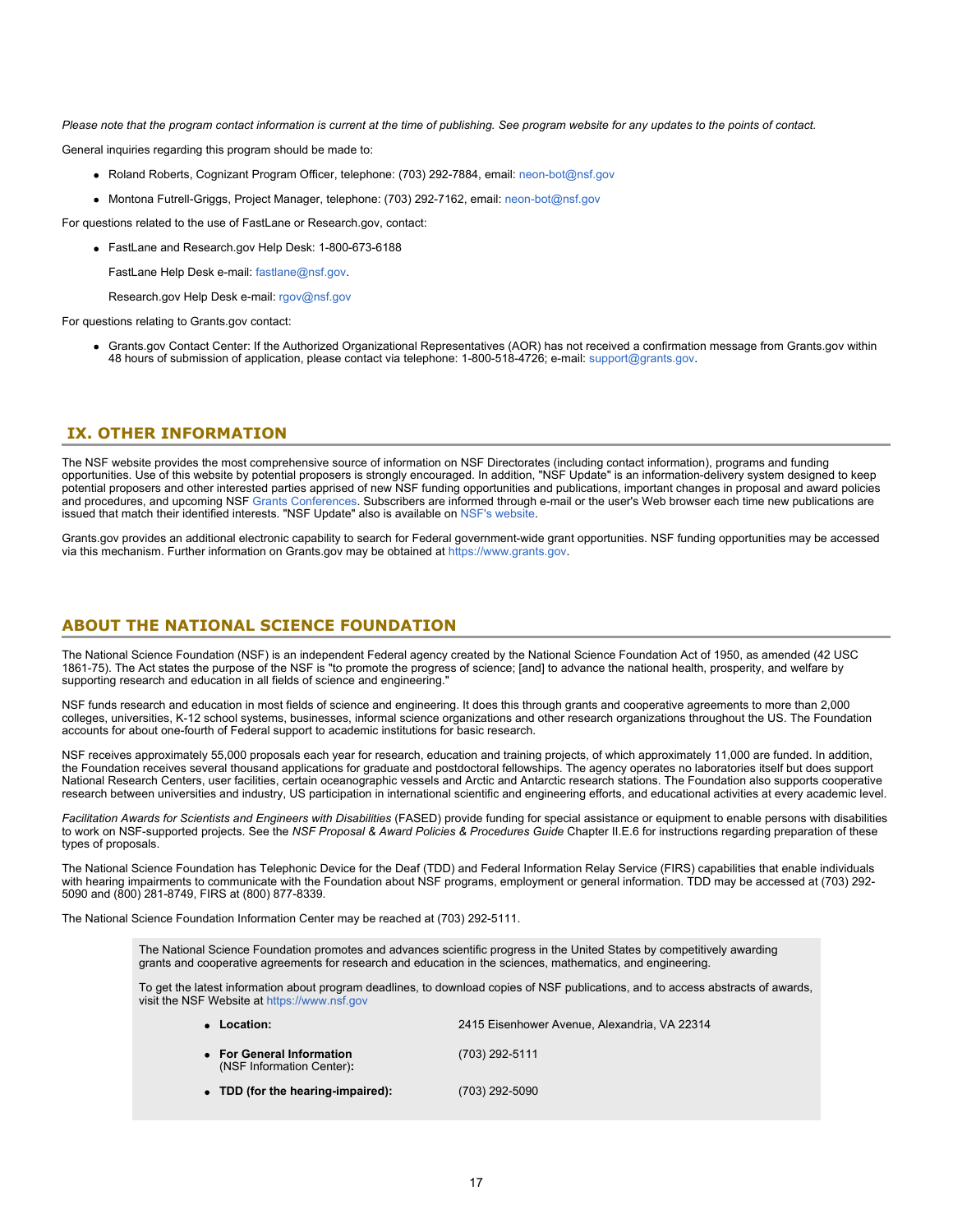*Please note that the program contact information is current at the time of publishing. See program website for any updates to the points of contact.*

General inquiries regarding this program should be made to:

- Roland Roberts, Cognizant Program Officer, telephone: (703) 292-7884, email: [neon-bot@nsf.gov](mailto:neon-bot@nsf.gov)
- Montona Futrell-Griggs, Project Manager, telephone: (703) 292-7162, email: [neon-bot@nsf.gov](mailto:neon-bot@nsf.gov)

For questions related to the use of FastLane or Research.gov, contact:

FastLane and Research.gov Help Desk: 1-800-673-6188

FastLane Help Desk e-mail: [fastlane@nsf.gov](mailto:fastlane@nsf.gov).

Research.gov Help Desk e-mail: [rgov@nsf.gov](mailto:rgov@nsf.gov)

For questions relating to Grants gov contact:

Grants.gov Contact Center: If the Authorized Organizational Representatives (AOR) has not received a confirmation message from Grants.gov within 48 hours of submission of application, please contact via telephone: 1-800-518-4726; e-mail: [support@grants.gov](mailto:support@grants.gov).

### <span id="page-16-0"></span>**IX. OTHER INFORMATION**

The NSF website provides the most comprehensive source of information on NSF Directorates (including contact information), programs and funding opportunities. Use of this website by potential proposers is strongly encouraged. In addition, "NSF Update" is an information-delivery system designed to keep potential proposers and other interested parties apprised of new NSF funding opportunities and publications, important changes in proposal and award policies and procedures, and upcoming NSF [Grants Conferences](https://www.nsf.gov/bfa/dias/policy/outreach.jsp). Subscribers are informed through e-mail or the user's Web browser each time new publications are issued that match their identified interests. "NSF Update" also is available on [NSF's website](https://www.nsf.gov/cgi-bin/goodbye?https://public.govdelivery.com/accounts/USNSF/subscriber/new?topic_id=USNSF_179).

Grants.gov provides an additional electronic capability to search for Federal government-wide grant opportunities. NSF funding opportunities may be accessed via this mechanism. Further information on Grants.gov may be obtained at [https://www.grants.gov](https://www.grants.gov/).

### **ABOUT THE NATIONAL SCIENCE FOUNDATION**

The National Science Foundation (NSF) is an independent Federal agency created by the National Science Foundation Act of 1950, as amended (42 USC 1861-75). The Act states the purpose of the NSF is "to promote the progress of science; [and] to advance the national health, prosperity, and welfare by supporting research and education in all fields of science and engineering."

NSF funds research and education in most fields of science and engineering. It does this through grants and cooperative agreements to more than 2,000 colleges, universities, K-12 school systems, businesses, informal science organizations and other research organizations throughout the US. The Foundation accounts for about one-fourth of Federal support to academic institutions for basic research.

NSF receives approximately 55,000 proposals each year for research, education and training projects, of which approximately 11,000 are funded. In addition, the Foundation receives several thousand applications for graduate and postdoctoral fellowships. The agency operates no laboratories itself but does support National Research Centers, user facilities, certain oceanographic vessels and Arctic and Antarctic research stations. The Foundation also supports cooperative research between universities and industry, US participation in international scientific and engineering efforts, and educational activities at every academic level.

*Facilitation Awards for Scientists and Engineers with Disabilities* (FASED) provide funding for special assistance or equipment to enable persons with disabilities to work on NSF-supported projects. See the *NSF Proposal & Award Policies & Procedures Guide* Chapter II.E.6 for instructions regarding preparation of these types of proposals.

The National Science Foundation has Telephonic Device for the Deaf (TDD) and Federal Information Relay Service (FIRS) capabilities that enable individuals with hearing impairments to communicate with the Foundation about NSF programs, employment or general information. TDD may be accessed at (703) 292- 5090 and (800) 281-8749, FIRS at (800) 877-8339.

The National Science Foundation Information Center may be reached at (703) 292-5111.

The National Science Foundation promotes and advances scientific progress in the United States by competitively awarding grants and cooperative agreements for research and education in the sciences, mathematics, and engineering.

To get the latest information about program deadlines, to download copies of NSF publications, and to access abstracts of awards, visit the NSF Website at [https://www.nsf.gov](https://www.nsf.gov/)

| Location:                                              | 2415 Eisenhower Avenue, Alexandria, VA 22314 |  |  |  |  |  |  |
|--------------------------------------------------------|----------------------------------------------|--|--|--|--|--|--|
| • For General Information<br>(NSF Information Center): | (703) 292-5111                               |  |  |  |  |  |  |
| • TDD (for the hearing-impaired):                      | (703) 292-5090                               |  |  |  |  |  |  |